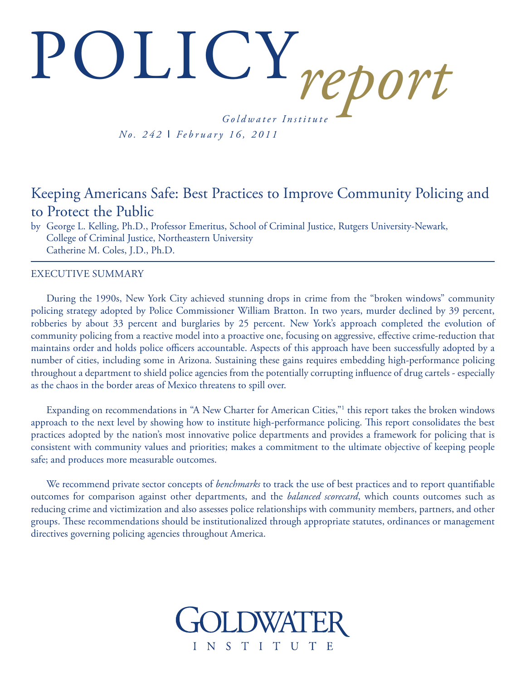# POLICY*report G o l d w a t e r I n s t i t u t e*

*N o . 2 4 2* I *F e b r u a r y 1 6 , 2 0 1 1*

# Keeping Americans Safe: Best Practices to Improve Community Policing and to Protect the Public

by George L. Kelling, Ph.D., Professor Emeritus, School of Criminal Justice, Rutgers University-Newark, College of Criminal Justice, Northeastern University Catherine M. Coles, J.D., Ph.D.

#### EXECUTIVE SUMMARY

During the 1990s, New York City achieved stunning drops in crime from the "broken windows" community policing strategy adopted by Police Commissioner William Bratton. In two years, murder declined by 39 percent, robberies by about 33 percent and burglaries by 25 percent. New York's approach completed the evolution of community policing from a reactive model into a proactive one, focusing on aggressive, effective crime-reduction that maintains order and holds police officers accountable. Aspects of this approach have been successfully adopted by a number of cities, including some in Arizona. Sustaining these gains requires embedding high-performance policing throughout a department to shield police agencies from the potentially corrupting influence of drug cartels - especially as the chaos in the border areas of Mexico threatens to spill over.

Expanding on recommendations in "A New Charter for American Cities,"<sup>1</sup> this report takes the broken windows approach to the next level by showing how to institute high-performance policing. This report consolidates the best practices adopted by the nation's most innovative police departments and provides a framework for policing that is consistent with community values and priorities; makes a commitment to the ultimate objective of keeping people safe; and produces more measurable outcomes.

We recommend private sector concepts of *benchmarks* to track the use of best practices and to report quantifiable outcomes for comparison against other departments, and the *balanced scorecard*, which counts outcomes such as reducing crime and victimization and also assesses police relationships with community members, partners, and other groups. These recommendations should be institutionalized through appropriate statutes, ordinances or management directives governing policing agencies throughout America.

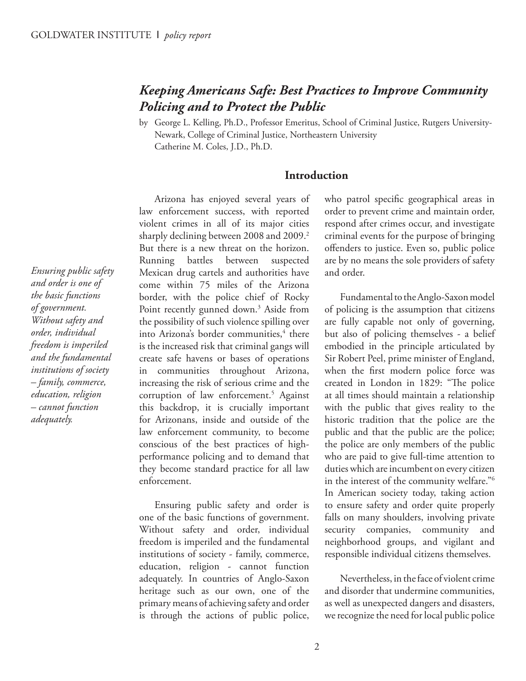# *Keeping Americans Safe: Best Practices to Improve Community Policing and to Protect the Public*

by George L. Kelling, Ph.D., Professor Emeritus, School of Criminal Justice, Rutgers University-Newark, College of Criminal Justice, Northeastern University Catherine M. Coles, J.D., Ph.D.

#### **Introduction**

Arizona has enjoyed several years of law enforcement success, with reported violent crimes in all of its major cities sharply declining between 2008 and 2009.<sup>2</sup> But there is a new threat on the horizon. Running battles between suspected Mexican drug cartels and authorities have come within 75 miles of the Arizona border, with the police chief of Rocky Point recently gunned down.<sup>3</sup> Aside from the possibility of such violence spilling over into Arizona's border communities,<sup>4</sup> there is the increased risk that criminal gangs will create safe havens or bases of operations in communities throughout Arizona, increasing the risk of serious crime and the corruption of law enforcement.<sup>5</sup> Against this backdrop, it is crucially important for Arizonans, inside and outside of the law enforcement community, to become conscious of the best practices of highperformance policing and to demand that they become standard practice for all law enforcement.

Ensuring public safety and order is one of the basic functions of government. Without safety and order, individual freedom is imperiled and the fundamental institutions of society - family, commerce, education, religion - cannot function adequately. In countries of Anglo-Saxon heritage such as our own, one of the primary means of achieving safety and order is through the actions of public police,

who patrol specific geographical areas in order to prevent crime and maintain order, respond after crimes occur, and investigate criminal events for the purpose of bringing offenders to justice. Even so, public police are by no means the sole providers of safety and order.

Fundamental to the Anglo-Saxon model of policing is the assumption that citizens are fully capable not only of governing, but also of policing themselves - a belief embodied in the principle articulated by Sir Robert Peel, prime minister of England, when the first modern police force was created in London in 1829: "The police at all times should maintain a relationship with the public that gives reality to the historic tradition that the police are the public and that the public are the police; the police are only members of the public who are paid to give full-time attention to duties which are incumbent on every citizen in the interest of the community welfare."<sup>6</sup> In American society today, taking action to ensure safety and order quite properly falls on many shoulders, involving private security companies, community and neighborhood groups, and vigilant and responsible individual citizens themselves.

Nevertheless, in the face of violent crime and disorder that undermine communities, as well as unexpected dangers and disasters, we recognize the need for local public police

*Ensuring public safety and order is one of the basic functions of government. Without safety and order, individual freedom is imperiled and the fundamental institutions of society – family, commerce, education, religion – cannot function adequately.*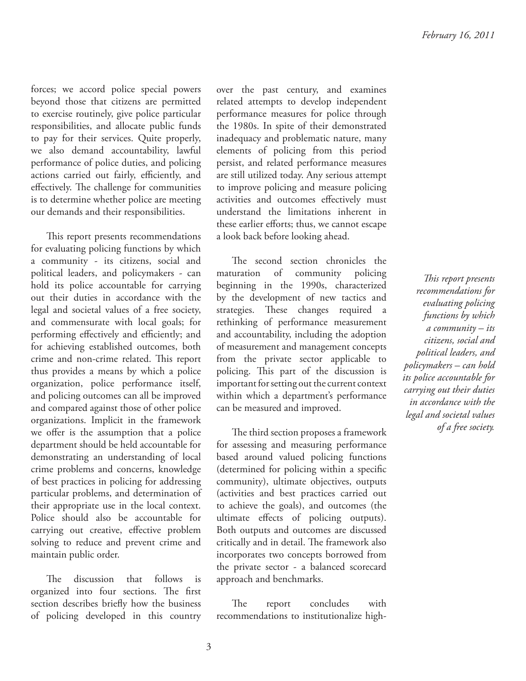forces; we accord police special powers beyond those that citizens are permitted to exercise routinely, give police particular responsibilities, and allocate public funds to pay for their services. Quite properly, we also demand accountability, lawful performance of police duties, and policing actions carried out fairly, efficiently, and effectively. The challenge for communities is to determine whether police are meeting our demands and their responsibilities.

This report presents recommendations for evaluating policing functions by which a community - its citizens, social and political leaders, and policymakers - can hold its police accountable for carrying out their duties in accordance with the legal and societal values of a free society, and commensurate with local goals; for performing effectively and efficiently; and for achieving established outcomes, both crime and non-crime related. This report thus provides a means by which a police organization, police performance itself, and policing outcomes can all be improved and compared against those of other police organizations. Implicit in the framework we offer is the assumption that a police department should be held accountable for demonstrating an understanding of local crime problems and concerns, knowledge of best practices in policing for addressing particular problems, and determination of their appropriate use in the local context. Police should also be accountable for carrying out creative, effective problem solving to reduce and prevent crime and maintain public order.

The discussion that follows is organized into four sections. The first section describes briefly how the business of policing developed in this country over the past century, and examines related attempts to develop independent performance measures for police through the 1980s. In spite of their demonstrated inadequacy and problematic nature, many elements of policing from this period persist, and related performance measures are still utilized today. Any serious attempt to improve policing and measure policing activities and outcomes effectively must understand the limitations inherent in these earlier efforts; thus, we cannot escape a look back before looking ahead.

The second section chronicles the maturation of community policing beginning in the 1990s, characterized by the development of new tactics and strategies. These changes required a rethinking of performance measurement and accountability, including the adoption of measurement and management concepts from the private sector applicable to policing. This part of the discussion is important for setting out the current context within which a department's performance can be measured and improved.

The third section proposes a framework for assessing and measuring performance based around valued policing functions (determined for policing within a specific community), ultimate objectives, outputs (activities and best practices carried out to achieve the goals), and outcomes (the ultimate effects of policing outputs). Both outputs and outcomes are discussed critically and in detail. The framework also incorporates two concepts borrowed from the private sector - a balanced scorecard approach and benchmarks.

The report concludes with recommendations to institutionalize high-

*! is report presents recommendations for evaluating policing functions by which a community – its citizens, social and political leaders, and policymakers – can hold its police accountable for carrying out their duties in accordance with the legal and societal values of a free society.*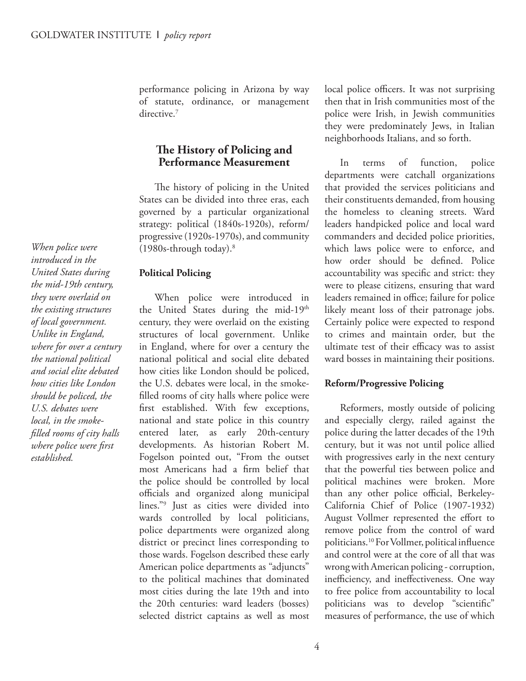performance policing in Arizona by way of statute, ordinance, or management directive.<sup>7</sup>

#### **The History of Policing and Performance Measurement**

The history of policing in the United States can be divided into three eras, each governed by a particular organizational strategy: political (1840s-1920s), reform/ progressive (1920s-1970s), and community (1980s-through today).<sup>8</sup>

#### **Political Policing**

When police were introduced in the United States during the mid-19th century, they were overlaid on the existing structures of local government. Unlike in England, where for over a century the national political and social elite debated how cities like London should be policed, the U.S. debates were local, in the smokefilled rooms of city halls where police were first established. With few exceptions, national and state police in this country entered later, as early 20th-century developments. As historian Robert M. Fogelson pointed out, "From the outset most Americans had a firm belief that the police should be controlled by local officials and organized along municipal lines."<sup>9</sup> Just as cities were divided into wards controlled by local politicians, police departments were organized along district or precinct lines corresponding to those wards. Fogelson described these early American police departments as "adjuncts" to the political machines that dominated most cities during the late 19th and into the 20th centuries: ward leaders (bosses) selected district captains as well as most

local police officers. It was not surprising then that in Irish communities most of the police were Irish, in Jewish communities they were predominately Jews, in Italian neighborhoods Italians, and so forth.

In terms of function, police departments were catchall organizations that provided the services politicians and their constituents demanded, from housing the homeless to cleaning streets. Ward leaders handpicked police and local ward commanders and decided police priorities, which laws police were to enforce, and how order should be defined. Police accountability was specific and strict: they were to please citizens, ensuring that ward leaders remained in office; failure for police likely meant loss of their patronage jobs. Certainly police were expected to respond to crimes and maintain order, but the ultimate test of their efficacy was to assist ward bosses in maintaining their positions.

#### **Reform/Progressive Policing**

Reformers, mostly outside of policing and especially clergy, railed against the police during the latter decades of the 19th century, but it was not until police allied with progressives early in the next century that the powerful ties between police and political machines were broken. More than any other police official, Berkeley-California Chief of Police (1907-1932) August Vollmer represented the effort to remove police from the control of ward politicians.<sup>10</sup> For Vollmer, political influence and control were at the core of all that was wrong with American policing - corruption, inefficiency, and ineffectiveness. One way to free police from accountability to local politicians was to develop "scientific" measures of performance, the use of which

*When police were introduced in the United States during the mid-19th century, they were overlaid on the existing structures of local government. Unlike in England, where for over a century the national political and social elite debated how cities like London should be policed, the U.S. debates were local, in the smokefi lled rooms of city halls where police were first established.*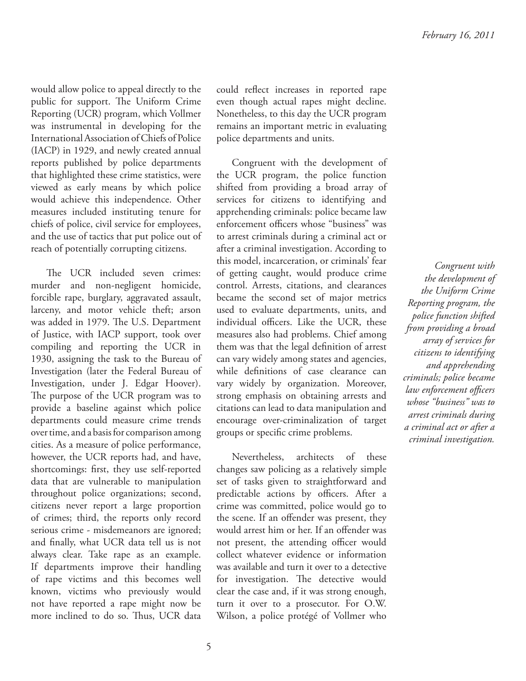would allow police to appeal directly to the public for support. The Uniform Crime Reporting (UCR) program, which Vollmer was instrumental in developing for the International Association of Chiefs of Police (IACP) in 1929, and newly created annual reports published by police departments that highlighted these crime statistics, were viewed as early means by which police would achieve this independence. Other measures included instituting tenure for chiefs of police, civil service for employees, and the use of tactics that put police out of reach of potentially corrupting citizens.

The UCR included seven crimes: murder and non-negligent homicide, forcible rape, burglary, aggravated assault, larceny, and motor vehicle theft; arson was added in 1979. The U.S. Department of Justice, with IACP support, took over compiling and reporting the UCR in 1930, assigning the task to the Bureau of Investigation (later the Federal Bureau of Investigation, under J. Edgar Hoover). The purpose of the UCR program was to provide a baseline against which police departments could measure crime trends over time, and a basis for comparison among cities. As a measure of police performance, however, the UCR reports had, and have, shortcomings: first, they use self-reported data that are vulnerable to manipulation throughout police organizations; second, citizens never report a large proportion of crimes; third, the reports only record serious crime - misdemeanors are ignored; and finally, what UCR data tell us is not always clear. Take rape as an example. If departments improve their handling of rape victims and this becomes well known, victims who previously would not have reported a rape might now be more inclined to do so. Thus, UCR data

could reflect increases in reported rape even though actual rapes might decline. Nonetheless, to this day the UCR program remains an important metric in evaluating police departments and units.

Congruent with the development of the UCR program, the police function shifted from providing a broad array of services for citizens to identifying and apprehending criminals: police became law enforcement officers whose "business" was to arrest criminals during a criminal act or after a criminal investigation. According to this model, incarceration, or criminals' fear of getting caught, would produce crime control. Arrests, citations, and clearances became the second set of major metrics used to evaluate departments, units, and individual officers. Like the UCR, these measures also had problems. Chief among them was that the legal definition of arrest can vary widely among states and agencies, while definitions of case clearance can vary widely by organization. Moreover, strong emphasis on obtaining arrests and citations can lead to data manipulation and encourage over-criminalization of target groups or specific crime problems.

Nevertheless, architects of these changes saw policing as a relatively simple set of tasks given to straightforward and predictable actions by officers. After a crime was committed, police would go to the scene. If an offender was present, they would arrest him or her. If an offender was not present, the attending officer would collect whatever evidence or information was available and turn it over to a detective for investigation. The detective would clear the case and, if it was strong enough, turn it over to a prosecutor. For O.W. Wilson, a police protégé of Vollmer who

*Congruent with the development of the Uniform Crime Reporting program, the police function shifted from providing a broad array of services for citizens to identifying and apprehending criminals; police became law enforcement offi cers whose "business" was to arrest criminals during a criminal act or after a criminal investigation.*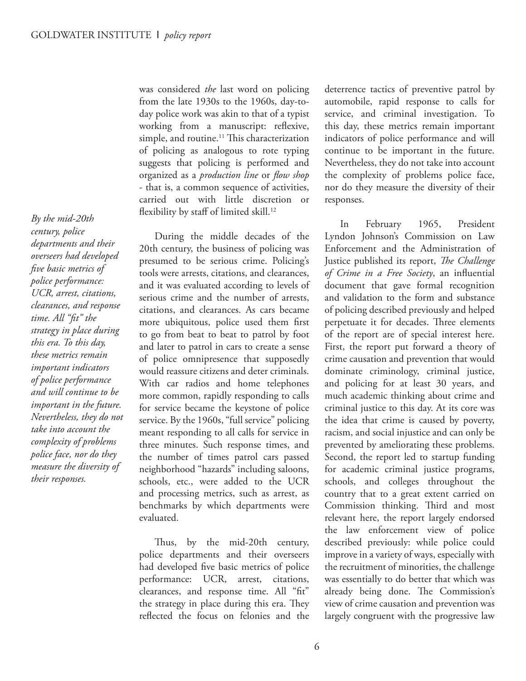*By the mid-20th century, police departments and their overseers had developed fi ve basic metrics of police performance: UCR, arrest, citations, clearances, and response time. All "fit" the strategy in place during this era. To this day, these metrics remain important indicators of police performance and will continue to be important in the future. Nevertheless, they do not take into account the complexity of problems police face, nor do they measure the diversity of their responses.*

was considered *the* last word on policing from the late 1930s to the 1960s, day-today police work was akin to that of a typist working from a manuscript: reflexive, simple, and routine.<sup>11</sup> This characterization of policing as analogous to rote typing suggests that policing is performed and organized as a *production line* or *flow shop* - that is, a common sequence of activities, carried out with little discretion or flexibility by staff of limited skill.<sup>12</sup>

During the middle decades of the 20th century, the business of policing was presumed to be serious crime. Policing's tools were arrests, citations, and clearances, and it was evaluated according to levels of serious crime and the number of arrests, citations, and clearances. As cars became more ubiquitous, police used them first to go from beat to beat to patrol by foot and later to patrol in cars to create a sense of police omnipresence that supposedly would reassure citizens and deter criminals. With car radios and home telephones more common, rapidly responding to calls for service became the keystone of police service. By the 1960s, "full service" policing meant responding to all calls for service in three minutes. Such response times, and the number of times patrol cars passed neighborhood "hazards" including saloons, schools, etc., were added to the UCR and processing metrics, such as arrest, as benchmarks by which departments were evaluated.

Thus, by the mid-20th century, police departments and their overseers had developed five basic metrics of police performance: UCR, arrest, citations, clearances, and response time. All "fit" the strategy in place during this era. They reflected the focus on felonies and the deterrence tactics of preventive patrol by automobile, rapid response to calls for service, and criminal investigation. To this day, these metrics remain important indicators of police performance and will continue to be important in the future. Nevertheless, they do not take into account the complexity of problems police face, nor do they measure the diversity of their responses.

In February 1965, President Lyndon Johnson's Commission on Law Enforcement and the Administration of Justice published its report, *The Challenge* of Crime in a Free Society, an influential document that gave formal recognition and validation to the form and substance of policing described previously and helped perpetuate it for decades. Three elements of the report are of special interest here. First, the report put forward a theory of crime causation and prevention that would dominate criminology, criminal justice, and policing for at least 30 years, and much academic thinking about crime and criminal justice to this day. At its core was the idea that crime is caused by poverty, racism, and social injustice and can only be prevented by ameliorating these problems. Second, the report led to startup funding for academic criminal justice programs, schools, and colleges throughout the country that to a great extent carried on Commission thinking. Third and most relevant here, the report largely endorsed the law enforcement view of police described previously: while police could improve in a variety of ways, especially with the recruitment of minorities, the challenge was essentially to do better that which was already being done. The Commission's view of crime causation and prevention was largely congruent with the progressive law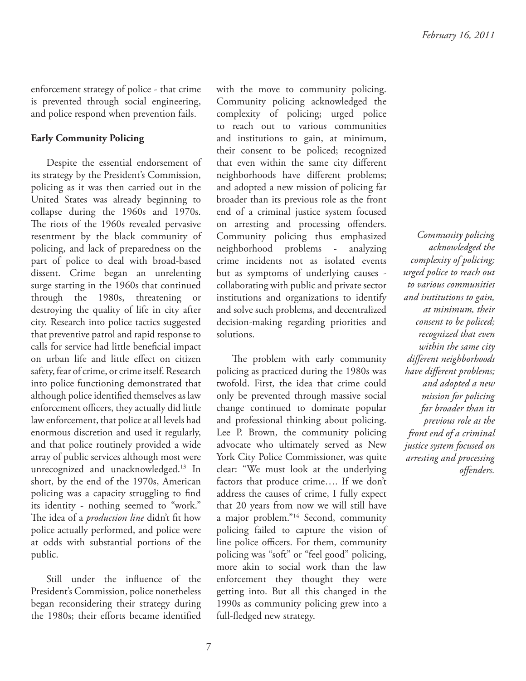enforcement strategy of police - that crime is prevented through social engineering, and police respond when prevention fails.

#### **Early Community Policing**

Despite the essential endorsement of its strategy by the President's Commission, policing as it was then carried out in the United States was already beginning to collapse during the 1960s and 1970s. The riots of the 1960s revealed pervasive resentment by the black community of policing, and lack of preparedness on the part of police to deal with broad-based dissent. Crime began an unrelenting surge starting in the 1960s that continued through the 1980s, threatening or destroying the quality of life in city after city. Research into police tactics suggested that preventive patrol and rapid response to calls for service had little beneficial impact on urban life and little effect on citizen safety, fear of crime, or crime itself. Research into police functioning demonstrated that although police identified themselves as law enforcement officers, they actually did little law enforcement, that police at all levels had enormous discretion and used it regularly, and that police routinely provided a wide array of public services although most were unrecognized and unacknowledged.<sup>13</sup> In short, by the end of the 1970s, American policing was a capacity struggling to find its identity - nothing seemed to "work." The idea of a *production line* didn't fit how police actually performed, and police were at odds with substantial portions of the public.

Still under the influence of the President's Commission, police nonetheless began reconsidering their strategy during the 1980s; their efforts became identified with the move to community policing. Community policing acknowledged the complexity of policing; urged police to reach out to various communities and institutions to gain, at minimum, their consent to be policed; recognized that even within the same city different neighborhoods have different problems; and adopted a new mission of policing far broader than its previous role as the front end of a criminal justice system focused on arresting and processing offenders. Community policing thus emphasized neighborhood problems - analyzing crime incidents not as isolated events but as symptoms of underlying causes collaborating with public and private sector institutions and organizations to identify and solve such problems, and decentralized decision-making regarding priorities and solutions.

The problem with early community policing as practiced during the 1980s was twofold. First, the idea that crime could only be prevented through massive social change continued to dominate popular and professional thinking about policing. Lee P. Brown, the community policing advocate who ultimately served as New York City Police Commissioner, was quite clear: "We must look at the underlying factors that produce crime…. If we don't address the causes of crime, I fully expect that 20 years from now we will still have a major problem."<sup>14</sup> Second, community policing failed to capture the vision of line police officers. For them, community policing was "soft" or "feel good" policing, more akin to social work than the law enforcement they thought they were getting into. But all this changed in the 1990s as community policing grew into a full-fledged new strategy.

*Community policing acknowledged the complexity of policing; urged police to reach out to various communities and institutions to gain, at minimum, their consent to be policed; recognized that even within the same city diff erent neighborhoods have different problems; and adopted a new mission for policing far broader than its previous role as the front end of a criminal justice system focused on arresting and processing off enders.*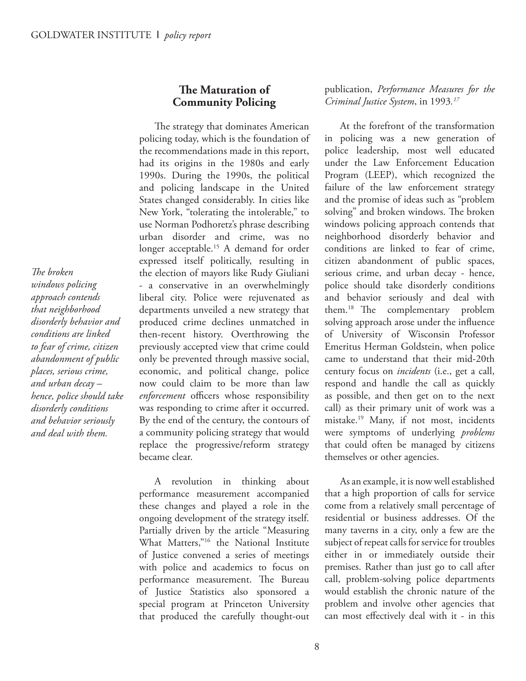*The broken windows policing approach contends that neighborhood disorderly behavior and conditions are linked to fear of crime, citizen abandonment of public places, serious crime, and urban decay – hence, police should take disorderly conditions and behavior seriously and deal with them.*

#### **The Maturation of Community Policing**

The strategy that dominates American policing today, which is the foundation of the recommendations made in this report, had its origins in the 1980s and early 1990s. During the 1990s, the political and policing landscape in the United States changed considerably. In cities like New York, "tolerating the intolerable," to use Norman Podhoretz's phrase describing urban disorder and crime, was no longer acceptable.<sup>15</sup> A demand for order expressed itself politically, resulting in the election of mayors like Rudy Giuliani - a conservative in an overwhelmingly liberal city. Police were rejuvenated as departments unveiled a new strategy that produced crime declines unmatched in then-recent history. Overthrowing the previously accepted view that crime could only be prevented through massive social, economic, and political change, police now could claim to be more than law *enforcement* officers whose responsibility was responding to crime after it occurred. By the end of the century, the contours of a community policing strategy that would replace the progressive/reform strategy became clear.

A revolution in thinking about performance measurement accompanied these changes and played a role in the ongoing development of the strategy itself. Partially driven by the article "Measuring What Matters,"<sup>16</sup> the National Institute of Justice convened a series of meetings with police and academics to focus on performance measurement. The Bureau of Justice Statistics also sponsored a special program at Princeton University that produced the carefully thought-out publication, *Performance Measures for the Criminal Justice System*, in 1993*. 17*

At the forefront of the transformation in policing was a new generation of police leadership, most well educated under the Law Enforcement Education Program (LEEP), which recognized the failure of the law enforcement strategy and the promise of ideas such as "problem solving" and broken windows. The broken windows policing approach contends that neighborhood disorderly behavior and conditions are linked to fear of crime, citizen abandonment of public spaces, serious crime, and urban decay - hence, police should take disorderly conditions and behavior seriously and deal with them.<sup>18</sup> The complementary problem solving approach arose under the influence of University of Wisconsin Professor Emeritus Herman Goldstein, when police came to understand that their mid-20th century focus on *incidents* (i.e., get a call, respond and handle the call as quickly as possible, and then get on to the next call) as their primary unit of work was a mistake.<sup>19</sup> Many, if not most, incidents were symptoms of underlying *problems* that could often be managed by citizens themselves or other agencies.

As an example, it is now well established that a high proportion of calls for service come from a relatively small percentage of residential or business addresses. Of the many taverns in a city, only a few are the subject of repeat calls for service for troubles either in or immediately outside their premises. Rather than just go to call after call, problem-solving police departments would establish the chronic nature of the problem and involve other agencies that can most effectively deal with it - in this

8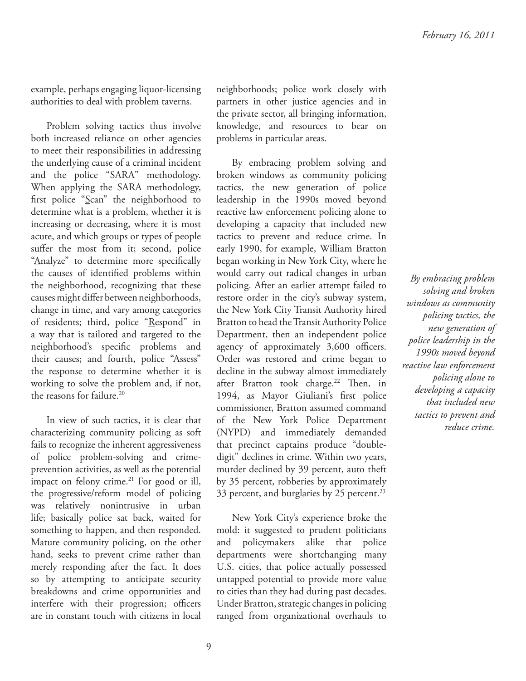example, perhaps engaging liquor-licensing authorities to deal with problem taverns.

Problem solving tactics thus involve both increased reliance on other agencies to meet their responsibilities in addressing the underlying cause of a criminal incident and the police "SARA" methodology. When applying the SARA methodology, first police " $Scan$ " the neighborhood to determine what is a problem, whether it is increasing or decreasing, where it is most acute, and which groups or types of people suffer the most from it; second, police "Analyze" to determine more specifically the causes of identified problems within the neighborhood, recognizing that these causes might differ between neighborhoods, change in time, and vary among categories of residents; third, police "Respond" in a way that is tailored and targeted to the neighborhood's specific problems and their causes; and fourth, police "Assess" the response to determine whether it is working to solve the problem and, if not, the reasons for failure.<sup>20</sup>

In view of such tactics, it is clear that characterizing community policing as soft fails to recognize the inherent aggressiveness of police problem-solving and crimeprevention activities, as well as the potential impact on felony crime.<sup>21</sup> For good or ill, the progressive/reform model of policing was relatively nonintrusive in urban life; basically police sat back, waited for something to happen, and then responded. Mature community policing, on the other hand, seeks to prevent crime rather than merely responding after the fact. It does so by attempting to anticipate security breakdowns and crime opportunities and interfere with their progression; officers are in constant touch with citizens in local

neighborhoods; police work closely with partners in other justice agencies and in the private sector, all bringing information, knowledge, and resources to bear on problems in particular areas.

By embracing problem solving and broken windows as community policing tactics, the new generation of police leadership in the 1990s moved beyond reactive law enforcement policing alone to developing a capacity that included new tactics to prevent and reduce crime. In early 1990, for example, William Bratton began working in New York City, where he would carry out radical changes in urban policing. After an earlier attempt failed to restore order in the city's subway system, the New York City Transit Authority hired Bratton to head the Transit Authority Police Department, then an independent police agency of approximately  $3,600$  officers. Order was restored and crime began to decline in the subway almost immediately after Bratton took charge.<sup>22</sup> Then, in 1994, as Mayor Giuliani's first police commissioner, Bratton assumed command of the New York Police Department (NYPD) and immediately demanded that precinct captains produce "doubledigit" declines in crime. Within two years, murder declined by 39 percent, auto theft by 35 percent, robberies by approximately 33 percent, and burglaries by 25 percent.<sup>23</sup>

New York City's experience broke the mold: it suggested to prudent politicians and policymakers alike that police departments were shortchanging many U.S. cities, that police actually possessed untapped potential to provide more value to cities than they had during past decades. Under Bratton, strategic changes in policing ranged from organizational overhauls to

*By embracing problem solving and broken windows as community policing tactics, the new generation of police leadership in the 1990s moved beyond reactive law enforcement policing alone to developing a capacity that included new tactics to prevent and reduce crime.*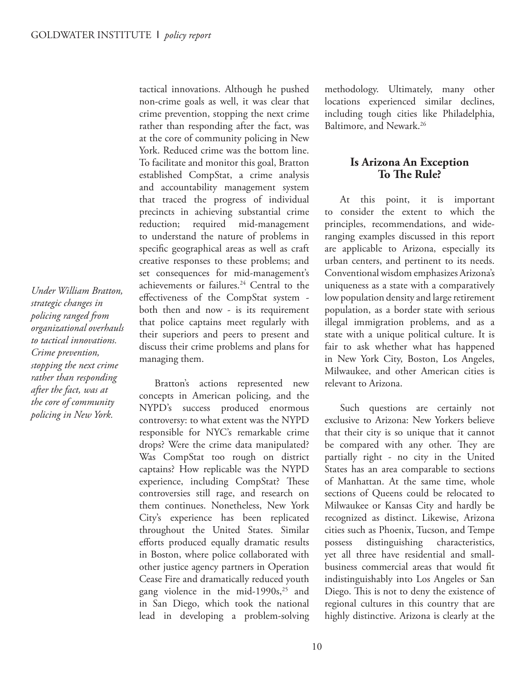*Under William Bratton, strategic changes in policing ranged from organizational overhauls to tactical innovations. Crime prevention, stopping the next crime rather than responding after the fact, was at the core of community policing in New York.*

tactical innovations. Although he pushed non-crime goals as well, it was clear that crime prevention, stopping the next crime rather than responding after the fact, was at the core of community policing in New York. Reduced crime was the bottom line. To facilitate and monitor this goal, Bratton established CompStat, a crime analysis and accountability management system that traced the progress of individual precincts in achieving substantial crime reduction; required mid-management to understand the nature of problems in specific geographical areas as well as craft creative responses to these problems; and set consequences for mid-management's achievements or failures.<sup>24</sup> Central to the effectiveness of the CompStat system both then and now - is its requirement that police captains meet regularly with their superiors and peers to present and discuss their crime problems and plans for managing them.

Bratton's actions represented new concepts in American policing, and the NYPD's success produced enormous controversy: to what extent was the NYPD responsible for NYC's remarkable crime drops? Were the crime data manipulated? Was CompStat too rough on district captains? How replicable was the NYPD experience, including CompStat? These controversies still rage, and research on them continues. Nonetheless, New York City's experience has been replicated throughout the United States. Similar efforts produced equally dramatic results in Boston, where police collaborated with other justice agency partners in Operation Cease Fire and dramatically reduced youth gang violence in the mid-1990s,<sup>25</sup> and in San Diego, which took the national lead in developing a problem-solving

methodology. Ultimately, many other locations experienced similar declines, including tough cities like Philadelphia, Baltimore, and Newark.<sup>26</sup>

#### **Is Arizona An Exception To The Rule?**

At this point, it is important to consider the extent to which the principles, recommendations, and wideranging examples discussed in this report are applicable to Arizona, especially its urban centers, and pertinent to its needs. Conventional wisdom emphasizes Arizona's uniqueness as a state with a comparatively low population density and large retirement population, as a border state with serious illegal immigration problems, and as a state with a unique political culture. It is fair to ask whether what has happened in New York City, Boston, Los Angeles, Milwaukee, and other American cities is relevant to Arizona.

Such questions are certainly not exclusive to Arizona: New Yorkers believe that their city is so unique that it cannot be compared with any other. They are partially right - no city in the United States has an area comparable to sections of Manhattan. At the same time, whole sections of Queens could be relocated to Milwaukee or Kansas City and hardly be recognized as distinct. Likewise, Arizona cities such as Phoenix, Tucson, and Tempe possess distinguishing characteristics, yet all three have residential and smallbusiness commercial areas that would fit indistinguishably into Los Angeles or San Diego. This is not to deny the existence of regional cultures in this country that are highly distinctive. Arizona is clearly at the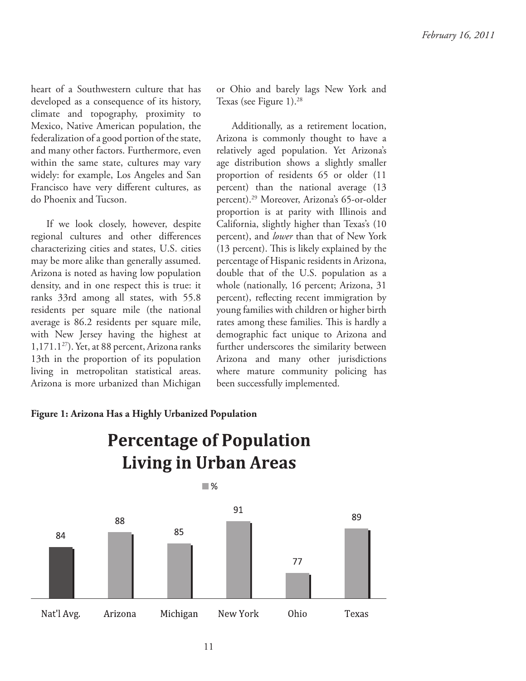heart of a Southwestern culture that has developed as a consequence of its history, climate and topography, proximity to Mexico, Native American population, the federalization of a good portion of the state, and many other factors. Furthermore, even within the same state, cultures may vary widely: for example, Los Angeles and San Francisco have very different cultures, as do Phoenix and Tucson.

If we look closely, however, despite regional cultures and other differences characterizing cities and states, U.S. cities may be more alike than generally assumed. Arizona is noted as having low population density, and in one respect this is true: it ranks 33rd among all states, with 55.8 residents per square mile (the national average is 86.2 residents per square mile, with New Jersey having the highest at  $1,171.1^{27}$ ). Yet, at 88 percent, Arizona ranks 13th in the proportion of its population living in metropolitan statistical areas. Arizona is more urbanized than Michigan

#### or Ohio and barely lags New York and Texas (see Figure 1).<sup>28</sup>

Additionally, as a retirement location, Arizona is commonly thought to have a relatively aged population. Yet Arizona's age distribution shows a slightly smaller proportion of residents 65 or older (11 percent) than the national average (13 percent).<sup>29</sup> Moreover, Arizona's 65-or-older proportion is at parity with Illinois and California, slightly higher than Texas's (10 percent), and *lower* than that of New York  $(13$  percent). This is likely explained by the percentage of Hispanic residents in Arizona, double that of the U.S. population as a whole (nationally, 16 percent; Arizona, 31 percent), reflecting recent immigration by young families with children or higher birth rates among these families. This is hardly a demographic fact unique to Arizona and further underscores the similarity between Arizona and many other jurisdictions where mature community policing has been successfully implemented.

#### **Figure 1: Arizona Has a Highly Urbanized Population**

# **Percentage of Population Living in Urban Areas**

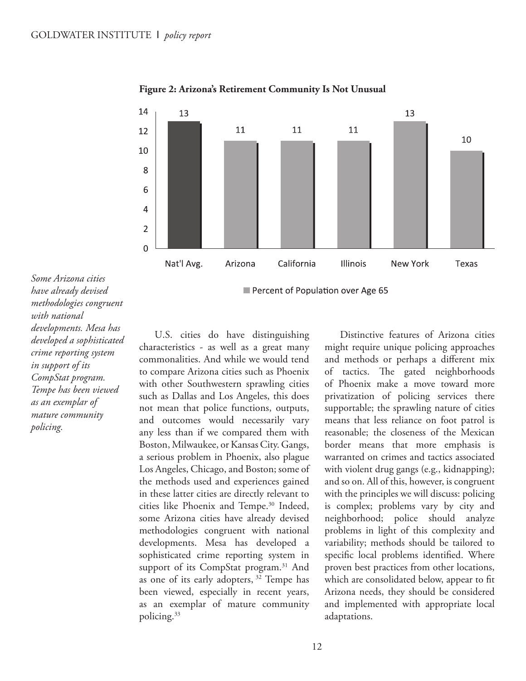

**Figure 2: Arizona's Retirement Community Is Not Unusual**

*Some Arizona cities have already devised methodologies congruent with national developments. Mesa has developed a sophisticated crime reporting system in support of its CompStat program. Tempe has been viewed as an exemplar of mature community policing.*

U.S. cities do have distinguishing characteristics - as well as a great many commonalities. And while we would tend to compare Arizona cities such as Phoenix with other Southwestern sprawling cities such as Dallas and Los Angeles, this does not mean that police functions, outputs, and outcomes would necessarily vary any less than if we compared them with Boston, Milwaukee, or Kansas City. Gangs, a serious problem in Phoenix, also plague Los Angeles, Chicago, and Boston; some of the methods used and experiences gained in these latter cities are directly relevant to cities like Phoenix and Tempe.<sup>30</sup> Indeed, some Arizona cities have already devised methodologies congruent with national developments. Mesa has developed a sophisticated crime reporting system in support of its CompStat program.<sup>31</sup> And as one of its early adopters,  $32$  Tempe has been viewed, especially in recent years, as an exemplar of mature community policing.<sup>33</sup>

Distinctive features of Arizona cities might require unique policing approaches and methods or perhaps a different mix of tactics. The gated neighborhoods of Phoenix make a move toward more privatization of policing services there supportable; the sprawling nature of cities means that less reliance on foot patrol is reasonable; the closeness of the Mexican border means that more emphasis is warranted on crimes and tactics associated with violent drug gangs (e.g., kidnapping); and so on. All of this, however, is congruent with the principles we will discuss: policing is complex; problems vary by city and neighborhood; police should analyze problems in light of this complexity and variability; methods should be tailored to specific local problems identified. Where proven best practices from other locations, which are consolidated below, appear to fit Arizona needs, they should be considered and implemented with appropriate local adaptations.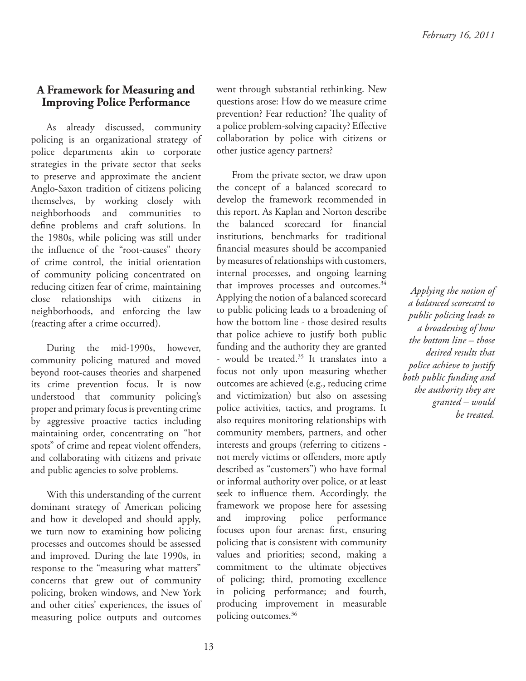#### **A Framework for Measuring and Improving Police Performance**

As already discussed, community policing is an organizational strategy of police departments akin to corporate strategies in the private sector that seeks to preserve and approximate the ancient Anglo-Saxon tradition of citizens policing themselves, by working closely with neighborhoods and communities to define problems and craft solutions. In the 1980s, while policing was still under the influence of the "root-causes" theory of crime control, the initial orientation of community policing concentrated on reducing citizen fear of crime, maintaining close relationships with citizens in neighborhoods, and enforcing the law (reacting after a crime occurred).

During the mid-1990s, however, community policing matured and moved beyond root-causes theories and sharpened its crime prevention focus. It is now understood that community policing's proper and primary focus is preventing crime by aggressive proactive tactics including maintaining order, concentrating on "hot spots" of crime and repeat violent offenders, and collaborating with citizens and private and public agencies to solve problems.

With this understanding of the current dominant strategy of American policing and how it developed and should apply, we turn now to examining how policing processes and outcomes should be assessed and improved. During the late 1990s, in response to the "measuring what matters" concerns that grew out of community policing, broken windows, and New York and other cities' experiences, the issues of measuring police outputs and outcomes

went through substantial rethinking. New questions arose: How do we measure crime prevention? Fear reduction? The quality of a police problem-solving capacity? Effective collaboration by police with citizens or other justice agency partners?

From the private sector, we draw upon the concept of a balanced scorecard to develop the framework recommended in this report. As Kaplan and Norton describe the balanced scorecard for financial institutions, benchmarks for traditional financial measures should be accompanied by measures of relationships with customers, internal processes, and ongoing learning that improves processes and outcomes.<sup>34</sup> Applying the notion of a balanced scorecard to public policing leads to a broadening of how the bottom line - those desired results that police achieve to justify both public funding and the authority they are granted - would be treated.<sup>35</sup> It translates into a focus not only upon measuring whether outcomes are achieved (e.g., reducing crime and victimization) but also on assessing police activities, tactics, and programs. It also requires monitoring relationships with community members, partners, and other interests and groups (referring to citizens not merely victims or offenders, more aptly described as "customers") who have formal or informal authority over police, or at least seek to influence them. Accordingly, the framework we propose here for assessing and improving police performance focuses upon four arenas: first, ensuring policing that is consistent with community values and priorities; second, making a commitment to the ultimate objectives of policing; third, promoting excellence in policing performance; and fourth, producing improvement in measurable policing outcomes.36

*Applying the notion of a balanced scorecard to public policing leads to a broadening of how the bottom line – those desired results that police achieve to justify both public funding and the authority they are granted – would be treated.*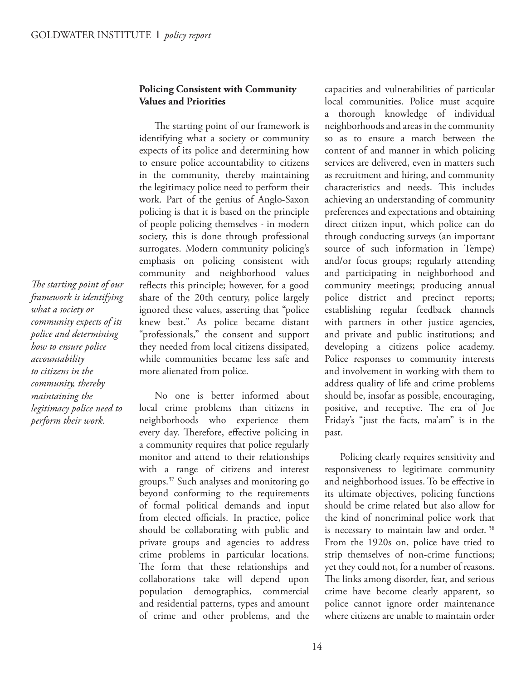#### **Policing Consistent with Community Values and Priorities**

The starting point of our framework is identifying what a society or community expects of its police and determining how to ensure police accountability to citizens in the community, thereby maintaining the legitimacy police need to perform their work. Part of the genius of Anglo-Saxon policing is that it is based on the principle of people policing themselves - in modern society, this is done through professional surrogates. Modern community policing's emphasis on policing consistent with community and neighborhood values reflects this principle; however, for a good share of the 20th century, police largely ignored these values, asserting that "police knew best." As police became distant "professionals," the consent and support they needed from local citizens dissipated, while communities became less safe and more alienated from police.

No one is better informed about local crime problems than citizens in neighborhoods who experience them every day. Therefore, effective policing in a community requires that police regularly monitor and attend to their relationships with a range of citizens and interest groups.<sup>37</sup> Such analyses and monitoring go beyond conforming to the requirements of formal political demands and input from elected officials. In practice, police should be collaborating with public and private groups and agencies to address crime problems in particular locations. The form that these relationships and collaborations take will depend upon population demographics, commercial and residential patterns, types and amount of crime and other problems, and the

capacities and vulnerabilities of particular local communities. Police must acquire a thorough knowledge of individual neighborhoods and areas in the community so as to ensure a match between the content of and manner in which policing services are delivered, even in matters such as recruitment and hiring, and community characteristics and needs. This includes achieving an understanding of community preferences and expectations and obtaining direct citizen input, which police can do through conducting surveys (an important source of such information in Tempe) and/or focus groups; regularly attending and participating in neighborhood and community meetings; producing annual police district and precinct reports; establishing regular feedback channels with partners in other justice agencies, and private and public institutions; and developing a citizens police academy. Police responses to community interests and involvement in working with them to address quality of life and crime problems should be, insofar as possible, encouraging, positive, and receptive. The era of Joe Friday's "just the facts, ma'am" is in the past.

Policing clearly requires sensitivity and responsiveness to legitimate community and neighborhood issues. To be effective in its ultimate objectives, policing functions should be crime related but also allow for the kind of noncriminal police work that is necessary to maintain law and order.<sup>38</sup> From the 1920s on, police have tried to strip themselves of non-crime functions; yet they could not, for a number of reasons. The links among disorder, fear, and serious crime have become clearly apparent, so police cannot ignore order maintenance where citizens are unable to maintain order

*The starting point of our framework is identifying what a society or community expects of its police and determining how to ensure police accountability to citizens in the community, thereby maintaining the legitimacy police need to perform their work.*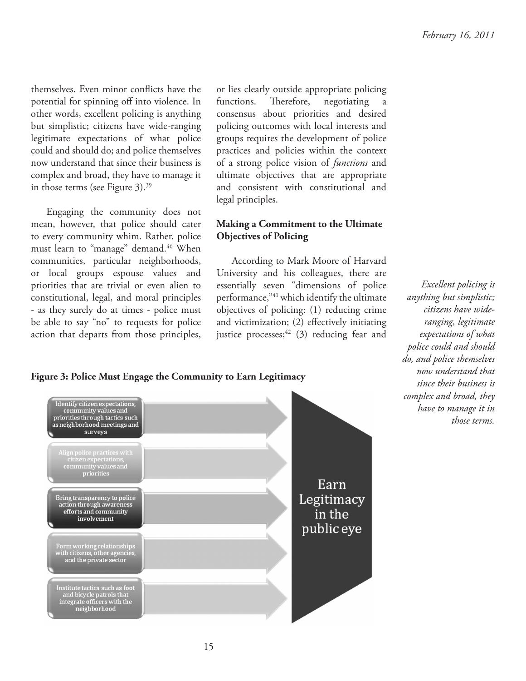themselves. Even minor conflicts have the potential for spinning off into violence. In other words, excellent policing is anything but simplistic; citizens have wide-ranging legitimate expectations of what police could and should do; and police themselves now understand that since their business is complex and broad, they have to manage it in those terms (see Figure  $3$ ).<sup>39</sup>

Engaging the community does not mean, however, that police should cater to every community whim. Rather, police must learn to "manage" demand.<sup>40</sup> When communities, particular neighborhoods, or local groups espouse values and priorities that are trivial or even alien to constitutional, legal, and moral principles - as they surely do at times - police must be able to say "no" to requests for police action that departs from those principles,

or lies clearly outside appropriate policing functions. Therefore, negotiating consensus about priorities and desired policing outcomes with local interests and groups requires the development of police practices and policies within the context of a strong police vision of *functions* and ultimate objectives that are appropriate and consistent with constitutional and legal principles.

#### **Making a Commitment to the Ultimate Objectives of Policing**

According to Mark Moore of Harvard University and his colleagues, there are essentially seven "dimensions of police performance,"<sup>41</sup> which identify the ultimate objectives of policing: (1) reducing crime and victimization;  $(2)$  effectively initiating justice processes;  $42$  (3) reducing fear and

*Excellent policing is anything but simplistic; citizens have wideranging, legitimate expectations of what police could and should do, and police themselves now understand that since their business is complex and broad, they have to manage it in those terms.*

#### **Figure 3: Police Must Engage the Community to Earn Legitimacy**

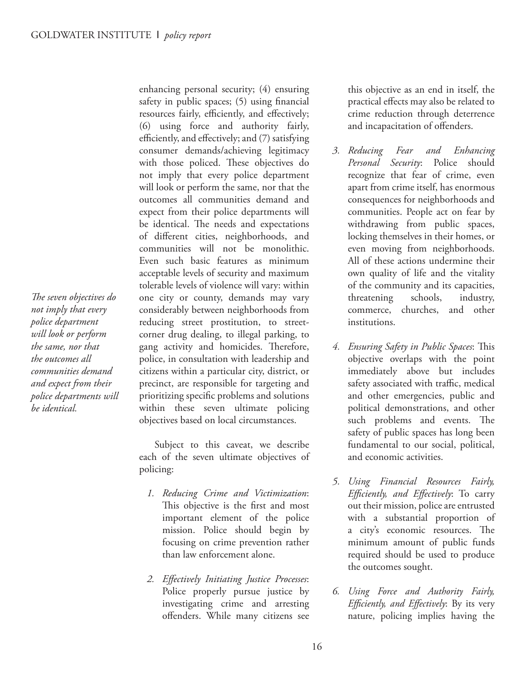The seven objectives do *not imply that every police department will look or perform the same, nor that the outcomes all communities demand and expect from their police departments will be identical.*

enhancing personal security; (4) ensuring safety in public spaces;  $(5)$  using financial resources fairly, efficiently, and effectively; (6) using force and authority fairly, efficiently, and effectively; and (7) satisfying consumer demands/achieving legitimacy with those policed. These objectives do not imply that every police department will look or perform the same, nor that the outcomes all communities demand and expect from their police departments will be identical. The needs and expectations of different cities, neighborhoods, and communities will not be monolithic. Even such basic features as minimum acceptable levels of security and maximum tolerable levels of violence will vary: within one city or county, demands may vary considerably between neighborhoods from reducing street prostitution, to streetcorner drug dealing, to illegal parking, to gang activity and homicides. Therefore, police, in consultation with leadership and citizens within a particular city, district, or precinct, are responsible for targeting and prioritizing specific problems and solutions within these seven ultimate policing objectives based on local circumstances.

Subject to this caveat, we describe each of the seven ultimate objectives of policing:

- *1. Reducing Crime and Victimization*: This objective is the first and most important element of the police mission. Police should begin by focusing on crime prevention rather than law enforcement alone.
- 2. Effectively Initiating Justice Processes: Police properly pursue justice by investigating crime and arresting offenders. While many citizens see

this objective as an end in itself, the practical effects may also be related to crime reduction through deterrence and incapacitation of offenders.

- *3. Reducing Fear and Enhancing Personal Security*: Police should recognize that fear of crime, even apart from crime itself, has enormous consequences for neighborhoods and communities. People act on fear by withdrawing from public spaces, locking themselves in their homes, or even moving from neighborhoods. All of these actions undermine their own quality of life and the vitality of the community and its capacities, threatening schools, industry, commerce, churches, and other institutions.
- 4. Ensuring Safety in Public Spaces: This objective overlaps with the point immediately above but includes safety associated with traffic, medical and other emergencies, public and political demonstrations, and other such problems and events. The safety of public spaces has long been fundamental to our social, political, and economic activities.
- *5. Using Financial Resources Fairly, Efficiently, and Effectively*: To carry out their mission, police are entrusted with a substantial proportion of a city's economic resources. The minimum amount of public funds required should be used to produce the outcomes sought.
- *6. Using Force and Authority Fairly, Efficiently, and Effectively*: By its very nature, policing implies having the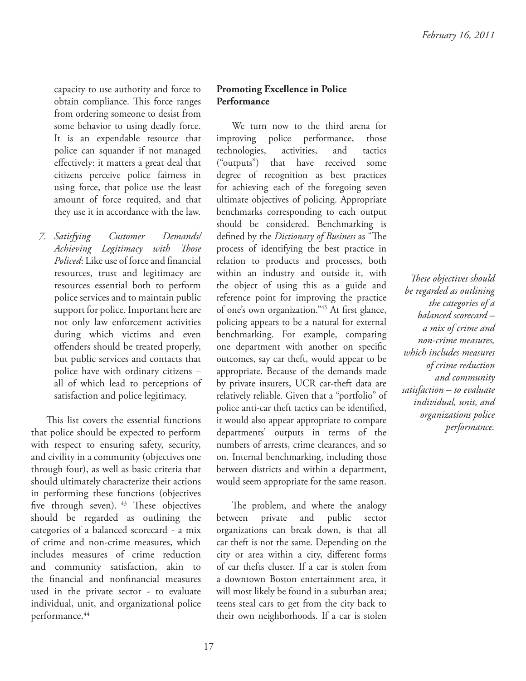capacity to use authority and force to obtain compliance. This force ranges from ordering someone to desist from some behavior to using deadly force. It is an expendable resource that police can squander if not managed effectively: it matters a great deal that citizens perceive police fairness in using force, that police use the least amount of force required, and that they use it in accordance with the law.

*7. Satisfying Customer Demands/ Achieving Legitimacy with Those Policed*: Like use of force and financial resources, trust and legitimacy are resources essential both to perform police services and to maintain public support for police. Important here are not only law enforcement activities during which victims and even offenders should be treated properly, but public services and contacts that police have with ordinary citizens – all of which lead to perceptions of satisfaction and police legitimacy.

This list covers the essential functions that police should be expected to perform with respect to ensuring safety, security, and civility in a community (objectives one through four), as well as basic criteria that should ultimately characterize their actions in performing these functions (objectives five through seven).  $43$  These objectives should be regarded as outlining the categories of a balanced scorecard - a mix of crime and non-crime measures, which includes measures of crime reduction and community satisfaction, akin to the financial and nonfinancial measures used in the private sector - to evaluate individual, unit, and organizational police performance.<sup>44</sup>

#### **Promoting Excellence in Police Performance**

We turn now to the third arena for improving police performance, those technologies, activities, and tactics ("outputs") that have received some degree of recognition as best practices for achieving each of the foregoing seven ultimate objectives of policing. Appropriate benchmarks corresponding to each output should be considered. Benchmarking is defined by the *Dictionary of Business* as "The process of identifying the best practice in relation to products and processes, both within an industry and outside it, with the object of using this as a guide and reference point for improving the practice of one's own organization."<sup>45</sup> At first glance, policing appears to be a natural for external benchmarking. For example, comparing one department with another on specific outcomes, say car theft, would appear to be appropriate. Because of the demands made by private insurers, UCR car-theft data are relatively reliable. Given that a "portfolio" of police anti-car theft tactics can be identified, it would also appear appropriate to compare departments' outputs in terms of the numbers of arrests, crime clearances, and so on. Internal benchmarking, including those between districts and within a department, would seem appropriate for the same reason.

The problem, and where the analogy between private and public sector organizations can break down, is that all car theft is not the same. Depending on the city or area within a city, different forms of car thefts cluster. If a car is stolen from a downtown Boston entertainment area, it will most likely be found in a suburban area; teens steal cars to get from the city back to their own neighborhoods. If a car is stolen

*! ese objectives should be regarded as outlining the categories of a balanced scorecard – a mix of crime and non-crime measures, which includes measures of crime reduction and community satisfaction – to evaluate individual, unit, and organizations police performance.*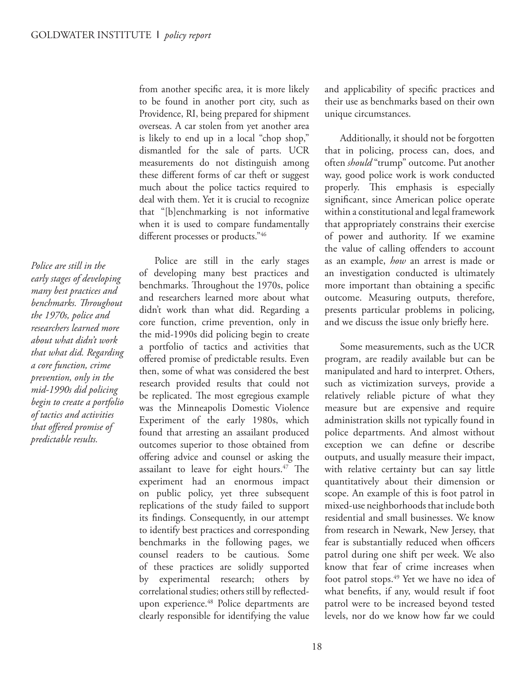*Police are still in the early stages of developing many best practices and*   $b$ enchmarks. Throughout *the 1970s, police and researchers learned more about what didn't work that what did. Regarding a core function, crime prevention, only in the mid-1990s did policing begin to create a portfolio of tactics and activities*  that offered promise of *predictable results.*

from another specific area, it is more likely to be found in another port city, such as Providence, RI, being prepared for shipment overseas. A car stolen from yet another area is likely to end up in a local "chop shop," dismantled for the sale of parts. UCR measurements do not distinguish among these different forms of car theft or suggest much about the police tactics required to deal with them. Yet it is crucial to recognize that "[b]enchmarking is not informative when it is used to compare fundamentally different processes or products."46

Police are still in the early stages of developing many best practices and benchmarks. Throughout the 1970s, police and researchers learned more about what didn't work than what did. Regarding a core function, crime prevention, only in the mid-1990s did policing begin to create a portfolio of tactics and activities that offered promise of predictable results. Even then, some of what was considered the best research provided results that could not be replicated. The most egregious example was the Minneapolis Domestic Violence Experiment of the early 1980s, which found that arresting an assailant produced outcomes superior to those obtained from offering advice and counsel or asking the assailant to leave for eight hours. $47$  The experiment had an enormous impact on public policy, yet three subsequent replications of the study failed to support its findings. Consequently, in our attempt to identify best practices and corresponding benchmarks in the following pages, we counsel readers to be cautious. Some of these practices are solidly supported by experimental research; others by correlational studies; others still by reflectedupon experience.<sup>48</sup> Police departments are clearly responsible for identifying the value

and applicability of specific practices and their use as benchmarks based on their own unique circumstances.

Additionally, it should not be forgotten that in policing, process can, does, and often *should* "trump" outcome. Put another way, good police work is work conducted properly. This emphasis is especially significant, since American police operate within a constitutional and legal framework that appropriately constrains their exercise of power and authority. If we examine the value of calling offenders to account as an example, *how* an arrest is made or an investigation conducted is ultimately more important than obtaining a specific outcome. Measuring outputs, therefore, presents particular problems in policing, and we discuss the issue only briefly here.

Some measurements, such as the UCR program, are readily available but can be manipulated and hard to interpret. Others, such as victimization surveys, provide a relatively reliable picture of what they measure but are expensive and require administration skills not typically found in police departments. And almost without exception we can define or describe outputs, and usually measure their impact, with relative certainty but can say little quantitatively about their dimension or scope. An example of this is foot patrol in mixed-use neighborhoods that include both residential and small businesses. We know from research in Newark, New Jersey, that fear is substantially reduced when officers patrol during one shift per week. We also know that fear of crime increases when foot patrol stops.<sup>49</sup> Yet we have no idea of what benefits, if any, would result if foot patrol were to be increased beyond tested levels, nor do we know how far we could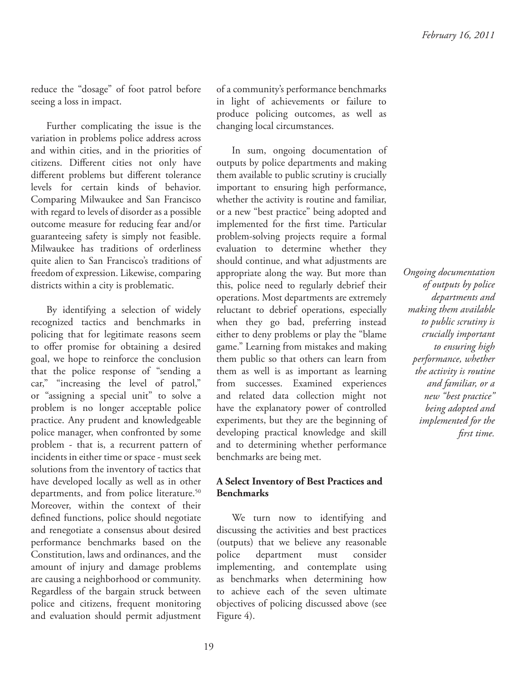reduce the "dosage" of foot patrol before seeing a loss in impact.

Further complicating the issue is the variation in problems police address across and within cities, and in the priorities of citizens. Different cities not only have different problems but different tolerance levels for certain kinds of behavior. Comparing Milwaukee and San Francisco with regard to levels of disorder as a possible outcome measure for reducing fear and/or guaranteeing safety is simply not feasible. Milwaukee has traditions of orderliness quite alien to San Francisco's traditions of freedom of expression. Likewise, comparing districts within a city is problematic.

By identifying a selection of widely recognized tactics and benchmarks in policing that for legitimate reasons seem to offer promise for obtaining a desired goal, we hope to reinforce the conclusion that the police response of "sending a car," "increasing the level of patrol," or "assigning a special unit" to solve a problem is no longer acceptable police practice. Any prudent and knowledgeable police manager, when confronted by some problem - that is, a recurrent pattern of incidents in either time or space - must seek solutions from the inventory of tactics that have developed locally as well as in other departments, and from police literature.<sup>50</sup> Moreover, within the context of their defined functions, police should negotiate and renegotiate a consensus about desired performance benchmarks based on the Constitution, laws and ordinances, and the amount of injury and damage problems are causing a neighborhood or community. Regardless of the bargain struck between police and citizens, frequent monitoring and evaluation should permit adjustment

of a community's performance benchmarks in light of achievements or failure to produce policing outcomes, as well as changing local circumstances.

In sum, ongoing documentation of outputs by police departments and making them available to public scrutiny is crucially important to ensuring high performance, whether the activity is routine and familiar, or a new "best practice" being adopted and implemented for the first time. Particular problem-solving projects require a formal evaluation to determine whether they should continue, and what adjustments are appropriate along the way. But more than this, police need to regularly debrief their operations. Most departments are extremely reluctant to debrief operations, especially when they go bad, preferring instead either to deny problems or play the "blame game." Learning from mistakes and making them public so that others can learn from them as well is as important as learning from successes. Examined experiences and related data collection might not have the explanatory power of controlled experiments, but they are the beginning of developing practical knowledge and skill and to determining whether performance benchmarks are being met.

#### **A Select Inventory of Best Practices and Benchmarks**

We turn now to identifying and discussing the activities and best practices (outputs) that we believe any reasonable police department must consider implementing, and contemplate using as benchmarks when determining how to achieve each of the seven ultimate objectives of policing discussed above (see Figure 4).

*Ongoing documentation of outputs by police departments and making them available to public scrutiny is crucially important to ensuring high performance, whether the activity is routine and familiar, or a new "best practice" being adopted and implemented for the fi rst time.*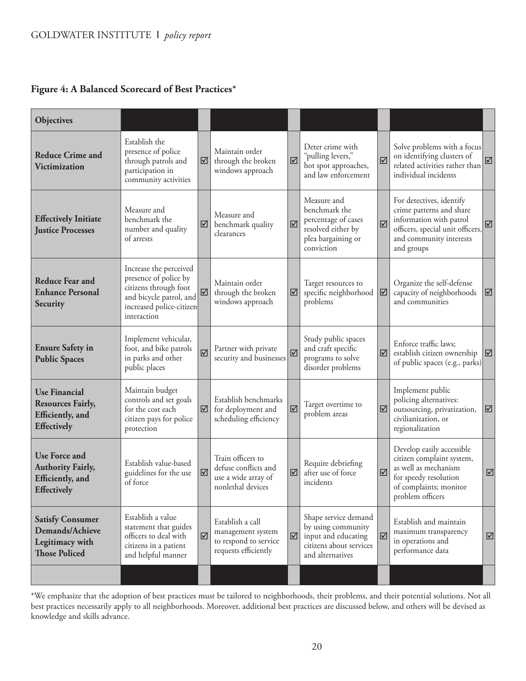#### **Figure 4: A Balanced Scorecard of Best Practices\***

| <b>Objectives</b>                                                                                 |                                                                                                                                                |                              |                                                                                        |                              |                                                                                                                  |                         |                                                                                                                                                              |                         |
|---------------------------------------------------------------------------------------------------|------------------------------------------------------------------------------------------------------------------------------------------------|------------------------------|----------------------------------------------------------------------------------------|------------------------------|------------------------------------------------------------------------------------------------------------------|-------------------------|--------------------------------------------------------------------------------------------------------------------------------------------------------------|-------------------------|
| <b>Reduce Crime and</b><br><b>Victimization</b>                                                   | Establish the<br>presence of police<br>through patrols and<br>participation in<br>community activities                                         | ☑                            | Maintain order<br>through the broken<br>windows approach                               | $\boxtimes$                  | Deter crime with<br>"pulling levers,"<br>hot spot approaches,<br>and law enforcement                             | ☑                       | Solve problems with a focus<br>on identifying clusters of<br>related activities rather than<br>individual incidents                                          | $\overline{\mathbb{M}}$ |
| <b>Effectively Initiate</b><br><b>Justice Processes</b>                                           | Measure and<br>benchmark the<br>number and quality<br>of arrests                                                                               | ☑                            | Measure and<br>benchmark quality<br>clearances                                         | $\triangledown$              | Measure and<br>benchmark the<br>percentage of cases<br>resolved either by<br>plea bargaining or<br>conviction    | $\overline{\mathsf{M}}$ | For detectives, identify<br>crime patterns and share<br>information with patrol<br>officers, special unit officers,<br>and community interests<br>and groups | $\triangledown$         |
| <b>Reduce Fear and</b><br><b>Enhance Personal</b><br>Security                                     | Increase the perceived<br>presence of police by<br>citizens through foot<br>and bicycle patrol, and<br>increased police-citizen<br>interaction | ☑                            | Maintain order<br>through the broken<br>windows approach                               | ☑                            | Target resources to<br>specific neighborhood<br>problems                                                         | $\triangledown$         | Organize the self-defense<br>capacity of neighborhoods<br>and communities                                                                                    | ☑                       |
| <b>Ensure Safety in</b><br><b>Public Spaces</b>                                                   | Implement vehicular,<br>foot, and bike patrols<br>in parks and other<br>public places                                                          | ☑                            | Partner with private<br>security and businesses                                        | $\overline{\mathsf{M}}$      | Study public spaces<br>and craft specific<br>programs to solve<br>disorder problems                              | $\boxed{\mathbf{N}}$    | Enforce traffic laws;<br>establish citizen ownership<br>of public spaces (e.g., parks)                                                                       | $\overline{\mathbb{Z}}$ |
| <b>Use Financial</b><br><b>Resources Fairly,</b><br>Efficiently, and<br><b>Effectively</b>        | Maintain budget<br>controls and set goals<br>for the cost each<br>citizen pays for police<br>protection                                        | ☑                            | Establish benchmarks<br>for deployment and<br>scheduling efficiency                    | $\boxed{\textstyle\diagup}$  | Target overtime to<br>problem areas                                                                              | $\triangledown$         | Implement public<br>policing alternatives:<br>outsourcing, privatization,<br>civilianization, or<br>regionalization                                          | $\triangledown$         |
| <b>Use Force and</b><br><b>Authority Fairly,</b><br><b>Efficiently, and</b><br><b>Effectively</b> | Establish value-based<br>guidelines for the use<br>of force                                                                                    | ☑                            | Train officers to<br>defuse conflicts and<br>use a wide array of<br>nonlethal devices  | $\boxtimes$                  | Require debriefing<br>after use of force<br>incidents                                                            | ☑                       | Develop easily accessible<br>citizen complaint system,<br>as well as mechanism<br>for speedy resolution<br>of complaints; monitor<br>problem officers        | $\triangledown$         |
| <b>Satisfy Consumer</b><br>Demands/Achieve<br>Legitimacy with<br><b>Those Policed</b>             | Establish a value<br>statement that guides<br>officers to deal with<br>citizens in a patient<br>and helpful manner                             | $\boxed{\blacktriangledown}$ | Establish a call<br>management system<br>to respond to service<br>requests efficiently | $\boxed{\blacktriangledown}$ | Shape service demand<br>by using community<br>input and educating<br>citizens about services<br>and alternatives | $\triangledown$         | Establish and maintain<br>maximum transparency<br>in operations and<br>performance data                                                                      | ☑                       |
|                                                                                                   |                                                                                                                                                |                              |                                                                                        |                              |                                                                                                                  |                         |                                                                                                                                                              |                         |

\*We emphasize that the adoption of best practices must be tailored to neighborhoods, their problems, and their potential solutions. Not all best practices necessarily apply to all neighborhoods. Moreover, additional best practices are discussed below, and others will be devised as knowledge and skills advance.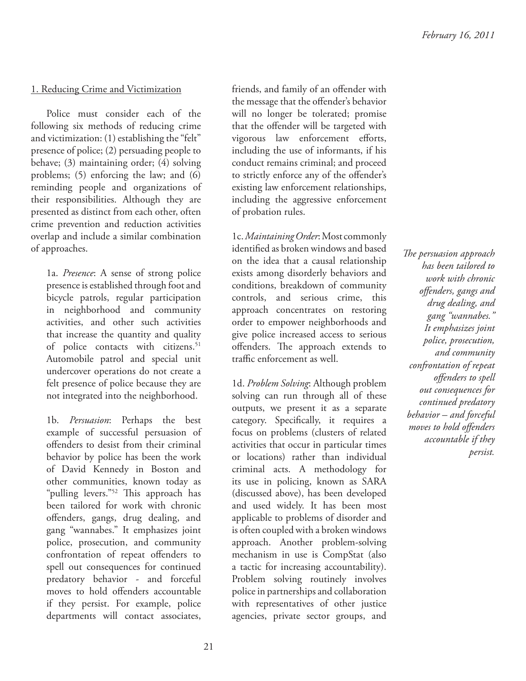#### 1. Reducing Crime and Victimization

Police must consider each of the following six methods of reducing crime and victimization: (1) establishing the "felt" presence of police; (2) persuading people to behave; (3) maintaining order; (4) solving problems; (5) enforcing the law; and (6) reminding people and organizations of their responsibilities. Although they are presented as distinct from each other, often crime prevention and reduction activities overlap and include a similar combination of approaches.

1a. *Presence*: A sense of strong police presence is established through foot and bicycle patrols, regular participation in neighborhood and community activities, and other such activities that increase the quantity and quality of police contacts with citizens.<sup>51</sup> Automobile patrol and special unit undercover operations do not create a felt presence of police because they are not integrated into the neighborhood.

1b. *Persuasion*: Perhaps the best example of successful persuasion of offenders to desist from their criminal behavior by police has been the work of David Kennedy in Boston and other communities, known today as "pulling levers."<sup>52</sup> This approach has been tailored for work with chronic offenders, gangs, drug dealing, and gang "wannabes." It emphasizes joint police, prosecution, and community confrontation of repeat offenders to spell out consequences for continued predatory behavior - and forceful moves to hold offenders accountable if they persist. For example, police departments will contact associates,

friends, and family of an offender with the message that the offender's behavior will no longer be tolerated; promise that the offender will be targeted with vigorous law enforcement efforts, including the use of informants, if his conduct remains criminal; and proceed to strictly enforce any of the offender's existing law enforcement relationships, including the aggressive enforcement of probation rules.

1c. *Maintaining Order*: Most commonly identified as broken windows and based on the idea that a causal relationship exists among disorderly behaviors and conditions, breakdown of community controls, and serious crime, this approach concentrates on restoring order to empower neighborhoods and give police increased access to serious offenders. The approach extends to traffic enforcement as well.

1d. *Problem Solving*: Although problem solving can run through all of these outputs, we present it as a separate category. Specifically, it requires a focus on problems (clusters of related activities that occur in particular times or locations) rather than individual criminal acts. A methodology for its use in policing, known as SARA (discussed above), has been developed and used widely. It has been most applicable to problems of disorder and is often coupled with a broken windows approach. Another problem-solving mechanism in use is CompStat (also a tactic for increasing accountability). Problem solving routinely involves police in partnerships and collaboration with representatives of other justice agencies, private sector groups, and *The persuasion approach has been tailored to work with chronic off enders, gangs and drug dealing, and gang "wannabes." It emphasizes joint police, prosecution, and community confrontation of repeat off enders to spell out consequences for continued predatory behavior – and forceful*  moves to hold offenders *accountable if they persist.*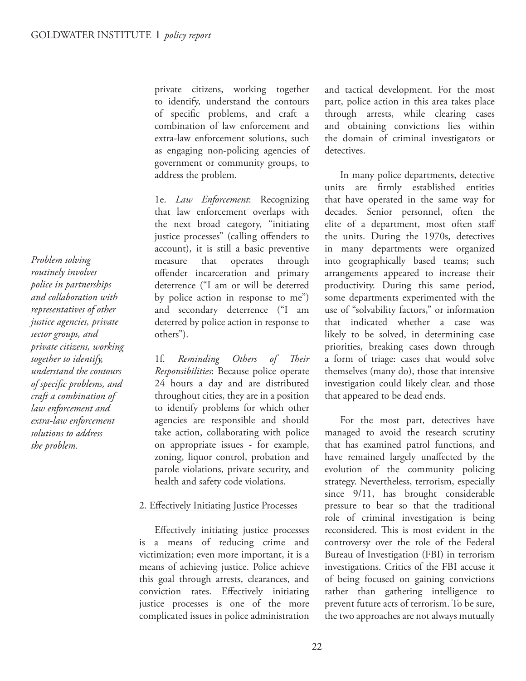*Problem solving routinely involves police in partnerships and collaboration with representatives of other justice agencies, private sector groups, and private citizens, working together to identify, understand the contours of specifi c problems, and craft a combination of law enforcement and extra-law enforcement solutions to address the problem.*

private citizens, working together to identify, understand the contours of specific problems, and craft a combination of law enforcement and extra-law enforcement solutions, such as engaging non-policing agencies of government or community groups, to address the problem.

1e. *Law Enforcement*: Recognizing that law enforcement overlaps with the next broad category, "initiating justice processes" (calling offenders to account), it is still a basic preventive measure that operates through offender incarceration and primary deterrence ("I am or will be deterred by police action in response to me") and secondary deterrence ("I am deterred by police action in response to others").

1f. Reminding Others of Their *Responsibilities*: Because police operate 24 hours a day and are distributed throughout cities, they are in a position to identify problems for which other agencies are responsible and should take action, collaborating with police on appropriate issues - for example, zoning, liquor control, probation and parole violations, private security, and health and safety code violations.

#### 2. Effectively Initiating Justice Processes

Effectively initiating justice processes is a means of reducing crime and victimization; even more important, it is a means of achieving justice. Police achieve this goal through arrests, clearances, and conviction rates. Effectively initiating justice processes is one of the more complicated issues in police administration and tactical development. For the most part, police action in this area takes place through arrests, while clearing cases and obtaining convictions lies within the domain of criminal investigators or detectives.

In many police departments, detective units are firmly established entities that have operated in the same way for decades. Senior personnel, often the elite of a department, most often staff the units. During the 1970s, detectives in many departments were organized into geographically based teams; such arrangements appeared to increase their productivity. During this same period, some departments experimented with the use of "solvability factors," or information that indicated whether a case was likely to be solved, in determining case priorities, breaking cases down through a form of triage: cases that would solve themselves (many do), those that intensive investigation could likely clear, and those that appeared to be dead ends.

For the most part, detectives have managed to avoid the research scrutiny that has examined patrol functions, and have remained largely unaffected by the evolution of the community policing strategy. Nevertheless, terrorism, especially since 9/11, has brought considerable pressure to bear so that the traditional role of criminal investigation is being reconsidered. This is most evident in the controversy over the role of the Federal Bureau of Investigation (FBI) in terrorism investigations. Critics of the FBI accuse it of being focused on gaining convictions rather than gathering intelligence to prevent future acts of terrorism. To be sure, the two approaches are not always mutually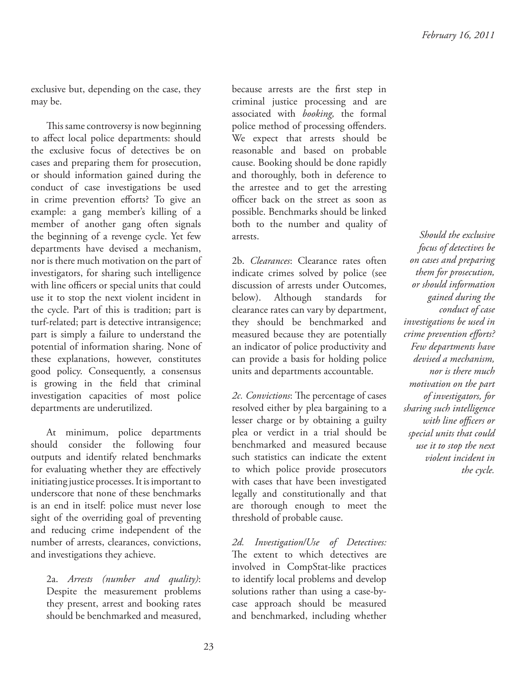exclusive but, depending on the case, they may be.

This same controversy is now beginning to affect local police departments: should the exclusive focus of detectives be on cases and preparing them for prosecution, or should information gained during the conduct of case investigations be used in crime prevention efforts? To give an example: a gang member's killing of a member of another gang often signals the beginning of a revenge cycle. Yet few departments have devised a mechanism, nor is there much motivation on the part of investigators, for sharing such intelligence with line officers or special units that could use it to stop the next violent incident in the cycle. Part of this is tradition; part is turf-related; part is detective intransigence; part is simply a failure to understand the potential of information sharing. None of these explanations, however, constitutes good policy. Consequently, a consensus is growing in the field that criminal investigation capacities of most police departments are underutilized.

At minimum, police departments should consider the following four outputs and identify related benchmarks for evaluating whether they are effectively initiating justice processes. It is important to underscore that none of these benchmarks is an end in itself: police must never lose sight of the overriding goal of preventing and reducing crime independent of the number of arrests, clearances, convictions, and investigations they achieve.

2a. *Arrests (number and quality)*: Despite the measurement problems they present, arrest and booking rates should be benchmarked and measured, because arrests are the first step in criminal justice processing and are associated with *booking,* the formal police method of processing offenders. We expect that arrests should be reasonable and based on probable cause. Booking should be done rapidly and thoroughly, both in deference to the arrestee and to get the arresting officer back on the street as soon as possible. Benchmarks should be linked both to the number and quality of arrests.

2b. *Clearances*: Clearance rates often indicate crimes solved by police (see discussion of arrests under Outcomes, below). Although standards for clearance rates can vary by department, they should be benchmarked and measured because they are potentially an indicator of police productivity and can provide a basis for holding police units and departments accountable.

*2c. Convictions*: The percentage of cases resolved either by plea bargaining to a lesser charge or by obtaining a guilty plea or verdict in a trial should be benchmarked and measured because such statistics can indicate the extent to which police provide prosecutors with cases that have been investigated legally and constitutionally and that are thorough enough to meet the threshold of probable cause.

*2d. Investigation/Use of Detectives:*  The extent to which detectives are involved in CompStat-like practices to identify local problems and develop solutions rather than using a case-bycase approach should be measured and benchmarked, including whether

*Should the exclusive focus of detectives be on cases and preparing them for prosecution, or should information gained during the conduct of case investigations be used in crime prevention efforts? Few departments have devised a mechanism, nor is there much motivation on the part of investigators, for sharing such intelligence*  with line officers or *special units that could use it to stop the next violent incident in the cycle.*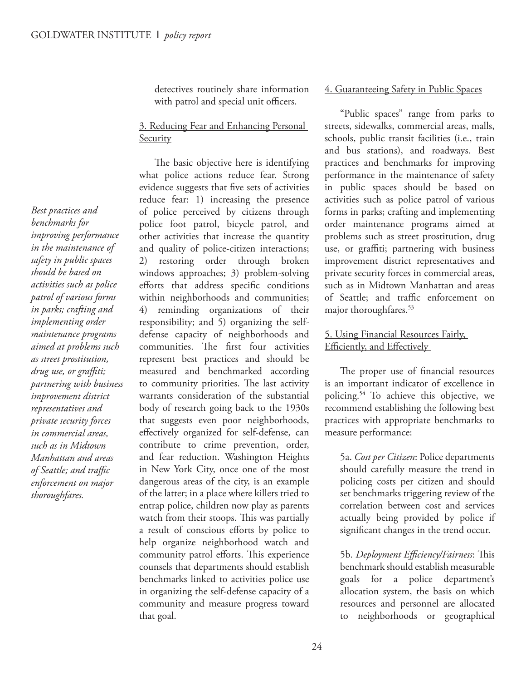detectives routinely share information with patrol and special unit officers.

#### 3. Reducing Fear and Enhancing Personal **Security**

The basic objective here is identifying what police actions reduce fear. Strong evidence suggests that five sets of activities reduce fear: 1) increasing the presence of police perceived by citizens through police foot patrol, bicycle patrol, and other activities that increase the quantity and quality of police-citizen interactions; 2) restoring order through broken windows approaches; 3) problem-solving efforts that address specific conditions within neighborhoods and communities; 4) reminding organizations of their responsibility; and 5) organizing the selfdefense capacity of neighborhoods and communities. The first four activities represent best practices and should be measured and benchmarked according to community priorities. The last activity warrants consideration of the substantial body of research going back to the 1930s that suggests even poor neighborhoods, effectively organized for self-defense, can contribute to crime prevention, order, and fear reduction. Washington Heights in New York City, once one of the most dangerous areas of the city, is an example of the latter; in a place where killers tried to entrap police, children now play as parents watch from their stoops. This was partially a result of conscious efforts by police to help organize neighborhood watch and community patrol efforts. This experience counsels that departments should establish benchmarks linked to activities police use in organizing the self-defense capacity of a community and measure progress toward that goal.

#### 4. Guaranteeing Safety in Public Spaces

"Public spaces" range from parks to streets, sidewalks, commercial areas, malls, schools, public transit facilities (i.e., train and bus stations), and roadways. Best practices and benchmarks for improving performance in the maintenance of safety in public spaces should be based on activities such as police patrol of various forms in parks; crafting and implementing order maintenance programs aimed at problems such as street prostitution, drug use, or graffiti; partnering with business improvement district representatives and private security forces in commercial areas, such as in Midtown Manhattan and areas of Seattle: and traffic enforcement on major thoroughfares.<sup>53</sup>

#### 5. Using Financial Resources Fairly, Efficiently, and Effectively

The proper use of financial resources is an important indicator of excellence in policing.<sup>54</sup> To achieve this objective, we recommend establishing the following best practices with appropriate benchmarks to measure performance:

5a. *Cost per Citizen*: Police departments should carefully measure the trend in policing costs per citizen and should set benchmarks triggering review of the correlation between cost and services actually being provided by police if significant changes in the trend occur.

5b. Deployment Efficiency/Fairness: This benchmark should establish measurable goals for a police department's allocation system, the basis on which resources and personnel are allocated to neighborhoods or geographical

*Best practices and benchmarks for improving performance in the maintenance of safety in public spaces should be based on activities such as police patrol of various forms in parks; crafting and implementing order maintenance programs aimed at problems such as street prostitution, drug use, or graffiti; partnering with business improvement district representatives and private security forces in commercial areas, such as in Midtown Manhattan and areas of Seattle; and traffic enforcement on major thoroughfares.*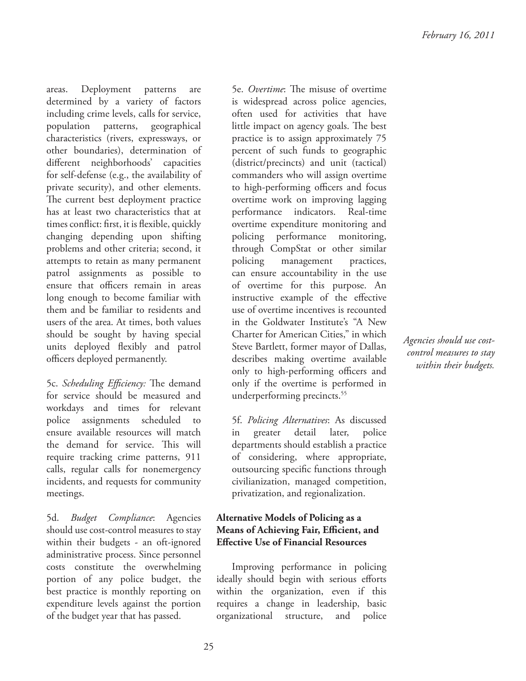areas. Deployment patterns are determined by a variety of factors including crime levels, calls for service, population patterns, geographical characteristics (rivers, expressways, or other boundaries), determination of different neighborhoods' capacities for self-defense (e.g., the availability of private security), and other elements. The current best deployment practice has at least two characteristics that at times conflict: first, it is flexible, quickly changing depending upon shifting problems and other criteria; second, it attempts to retain as many permanent patrol assignments as possible to ensure that officers remain in areas long enough to become familiar with them and be familiar to residents and users of the area. At times, both values should be sought by having special units deployed flexibly and patrol officers deployed permanently.

5c. Scheduling Efficiency: The demand for service should be measured and workdays and times for relevant police assignments scheduled to ensure available resources will match the demand for service. This will require tracking crime patterns, 911 calls, regular calls for nonemergency incidents, and requests for community meetings.

5d. *Budget Compliance*: Agencies should use cost-control measures to stay within their budgets - an oft-ignored administrative process. Since personnel costs constitute the overwhelming portion of any police budget, the best practice is monthly reporting on expenditure levels against the portion of the budget year that has passed.

5e. Overtime: The misuse of overtime is widespread across police agencies, often used for activities that have little impact on agency goals. The best practice is to assign approximately 75 percent of such funds to geographic (district/precincts) and unit (tactical) commanders who will assign overtime to high-performing officers and focus overtime work on improving lagging performance indicators. Real-time overtime expenditure monitoring and policing performance monitoring, through CompStat or other similar policing management practices, can ensure accountability in the use of overtime for this purpose. An instructive example of the effective use of overtime incentives is recounted in the Goldwater Institute's "A New Charter for American Cities," in which Steve Bartlett, former mayor of Dallas, describes making overtime available only to high-performing officers and only if the overtime is performed in underperforming precincts.<sup>55</sup>

5f. *Policing Alternatives*: As discussed in greater detail later, police departments should establish a practice of considering, where appropriate, outsourcing specific functions through civilianization, managed competition, privatization, and regionalization.

#### **Alternative Models of Policing as a Means of Achieving Fair, Efficient, and Effective Use of Financial Resources**

Improving performance in policing ideally should begin with serious efforts within the organization, even if this requires a change in leadership, basic organizational structure, and police

*Agencies should use costcontrol measures to stay within their budgets.*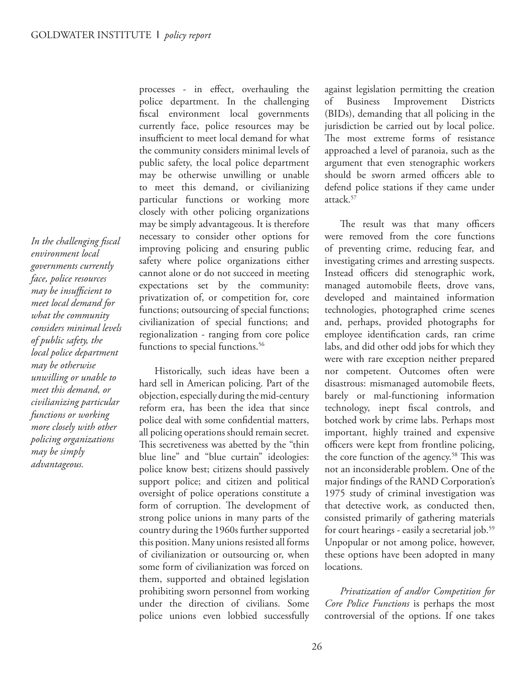In the challenging fiscal *environment local governments currently face, police resources*  may be insufficient to *meet local demand for what the community considers minimal levels of public safety, the local police department may be otherwise unwilling or unable to meet this demand, or civilianizing particular functions or working more closely with other policing organizations may be simply advantageous.*

processes - in effect, overhauling the police department. In the challenging fiscal environment local governments currently face, police resources may be insufficient to meet local demand for what the community considers minimal levels of public safety, the local police department may be otherwise unwilling or unable to meet this demand, or civilianizing particular functions or working more closely with other policing organizations may be simply advantageous. It is therefore necessary to consider other options for improving policing and ensuring public safety where police organizations either cannot alone or do not succeed in meeting expectations set by the community: privatization of, or competition for, core functions; outsourcing of special functions; civilianization of special functions; and regionalization - ranging from core police functions to special functions.<sup>56</sup>

Historically, such ideas have been a hard sell in American policing. Part of the objection, especially during the mid-century reform era, has been the idea that since police deal with some confidential matters, all policing operations should remain secret. This secretiveness was abetted by the "thin blue line" and "blue curtain" ideologies: police know best; citizens should passively support police; and citizen and political oversight of police operations constitute a form of corruption. The development of strong police unions in many parts of the country during the 1960s further supported this position. Many unions resisted all forms of civilianization or outsourcing or, when some form of civilianization was forced on them, supported and obtained legislation prohibiting sworn personnel from working under the direction of civilians. Some police unions even lobbied successfully

against legislation permitting the creation of Business Improvement Districts (BIDs), demanding that all policing in the jurisdiction be carried out by local police. The most extreme forms of resistance approached a level of paranoia, such as the argument that even stenographic workers should be sworn armed officers able to defend police stations if they came under attack.<sup>57</sup>

The result was that many officers were removed from the core functions of preventing crime, reducing fear, and investigating crimes and arresting suspects. Instead officers did stenographic work, managed automobile fleets, drove vans, developed and maintained information technologies, photographed crime scenes and, perhaps, provided photographs for employee identification cards, ran crime labs, and did other odd jobs for which they were with rare exception neither prepared nor competent. Outcomes often were disastrous: mismanaged automobile fleets, barely or mal-functioning information technology, inept fiscal controls, and botched work by crime labs. Perhaps most important, highly trained and expensive officers were kept from frontline policing, the core function of the agency.<sup>58</sup> This was not an inconsiderable problem. One of the major findings of the RAND Corporation's 1975 study of criminal investigation was that detective work, as conducted then, consisted primarily of gathering materials for court hearings - easily a secretarial job.<sup>59</sup> Unpopular or not among police, however, these options have been adopted in many locations.

*Privatization of and/or Competition for Core Police Functions* is perhaps the most controversial of the options. If one takes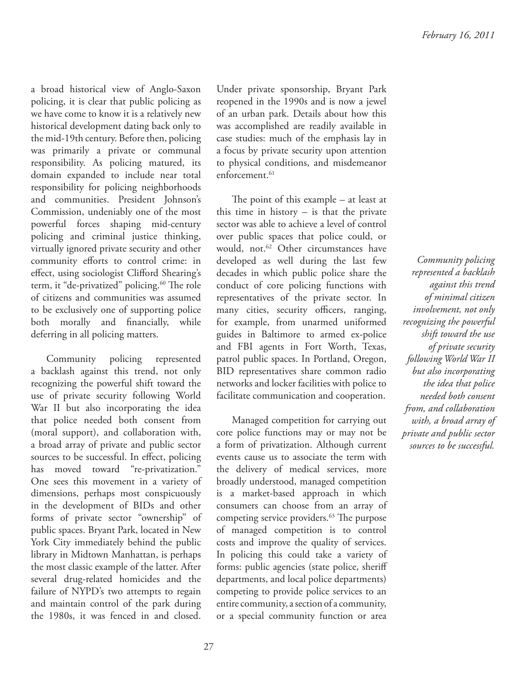a broad historical view of Anglo-Saxon policing, it is clear that public policing as we have come to know it is a relatively new historical development dating back only to the mid-19th century. Before then, policing was primarily a private or communal responsibility. As policing matured, its domain expanded to include near total responsibility for policing neighborhoods and communities. President Johnson's Commission, undeniably one of the most powerful forces shaping mid-century policing and criminal justice thinking, virtually ignored private security and other community efforts to control crime: in effect, using sociologist Clifford Shearing's term, it "de-privatized" policing.<sup>60</sup> The role of citizens and communities was assumed to be exclusively one of supporting police both morally and financially, while deferring in all policing matters.

Community policing represented a backlash against this trend, not only recognizing the powerful shift toward the use of private security following World War II but also incorporating the idea that police needed both consent from (moral support), and collaboration with, a broad array of private and public sector sources to be successful. In effect, policing has moved toward "re-privatization." One sees this movement in a variety of dimensions, perhaps most conspicuously in the development of BIDs and other forms of private sector "ownership" of public spaces. Bryant Park, located in New York City immediately behind the public library in Midtown Manhattan, is perhaps the most classic example of the latter. After several drug-related homicides and the failure of NYPD's two attempts to regain and maintain control of the park during the 1980s, it was fenced in and closed.

Under private sponsorship, Bryant Park reopened in the 1990s and is now a jewel of an urban park. Details about how this was accomplished are readily available in case studies: much of the emphasis lay in a focus by private security upon attention to physical conditions, and misdemeanor enforcement.<sup>61</sup>

The point of this example  $-$  at least at this time in history  $-$  is that the private sector was able to achieve a level of control over public spaces that police could, or would, not.<sup>62</sup> Other circumstances have developed as well during the last few decades in which public police share the conduct of core policing functions with representatives of the private sector. In many cities, security officers, ranging, for example, from unarmed uniformed guides in Baltimore to armed ex-police and FBI agents in Fort Worth, Texas, patrol public spaces. In Portland, Oregon, BID representatives share common radio networks and locker facilities with police to facilitate communication and cooperation.

Managed competition for carrying out core police functions may or may not be a form of privatization. Although current events cause us to associate the term with the delivery of medical services, more broadly understood, managed competition is a market-based approach in which consumers can choose from an array of competing service providers.<sup>63</sup> The purpose of managed competition is to control costs and improve the quality of services. In policing this could take a variety of forms: public agencies (state police, sheriff departments, and local police departments) competing to provide police services to an entire community, a section of a community, or a special community function or area

*Community policing represented a backlash against this trend of minimal citizen involvement, not only recognizing the powerful shift toward the use of private security following World War II but also incorporating the idea that police needed both consent from, and collaboration with, a broad array of private and public sector sources to be successful.*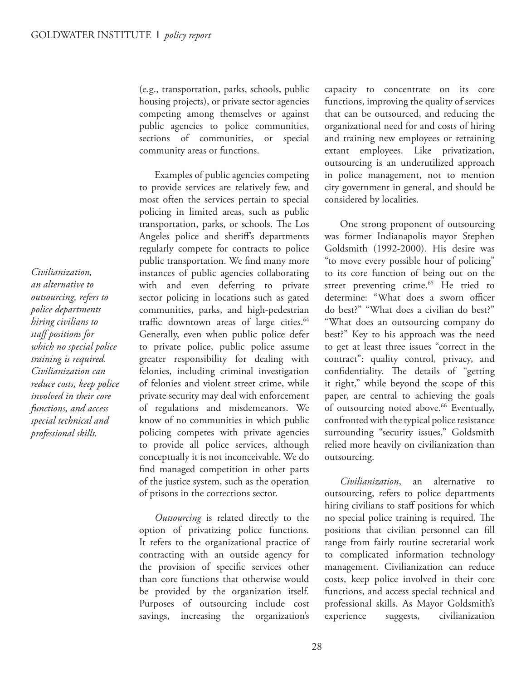(e.g., transportation, parks, schools, public housing projects), or private sector agencies competing among themselves or against public agencies to police communities, sections of communities, or special community areas or functions.

Examples of public agencies competing to provide services are relatively few, and most often the services pertain to special policing in limited areas, such as public transportation, parks, or schools. The Los Angeles police and sheriff's departments regularly compete for contracts to police public transportation. We find many more instances of public agencies collaborating with and even deferring to private sector policing in locations such as gated communities, parks, and high-pedestrian traffic downtown areas of large cities.<sup>64</sup> Generally, even when public police defer to private police, public police assume greater responsibility for dealing with felonies, including criminal investigation of felonies and violent street crime, while private security may deal with enforcement of regulations and misdemeanors. We know of no communities in which public policing competes with private agencies to provide all police services, although conceptually it is not inconceivable. We do find managed competition in other parts of the justice system, such as the operation of prisons in the corrections sector.

*Outsourcing* is related directly to the option of privatizing police functions. It refers to the organizational practice of contracting with an outside agency for the provision of specific services other than core functions that otherwise would be provided by the organization itself. Purposes of outsourcing include cost savings, increasing the organization's

capacity to concentrate on its core functions, improving the quality of services that can be outsourced, and reducing the organizational need for and costs of hiring and training new employees or retraining extant employees. Like privatization, outsourcing is an underutilized approach in police management, not to mention city government in general, and should be considered by localities.

One strong proponent of outsourcing was former Indianapolis mayor Stephen Goldsmith (1992-2000). His desire was "to move every possible hour of policing" to its core function of being out on the street preventing crime.<sup>65</sup> He tried to determine: "What does a sworn officer do best?" "What does a civilian do best?" "What does an outsourcing company do best?" Key to his approach was the need to get at least three issues "correct in the contract": quality control, privacy, and confidentiality. The details of "getting it right," while beyond the scope of this paper, are central to achieving the goals of outsourcing noted above.<sup>66</sup> Eventually, confronted with the typical police resistance surrounding "security issues," Goldsmith relied more heavily on civilianization than outsourcing.

*Civilianization*, an alternative to outsourcing, refers to police departments hiring civilians to staff positions for which no special police training is required. The positions that civilian personnel can fill range from fairly routine secretarial work to complicated information technology management. Civilianization can reduce costs, keep police involved in their core functions, and access special technical and professional skills. As Mayor Goldsmith's experience suggests, civilianization

*Civilianization, an alternative to outsourcing, refers to police departments hiring civilians to staff positions for which no special police training is required. Civilianization can reduce costs, keep police involved in their core functions, and access special technical and professional skills.*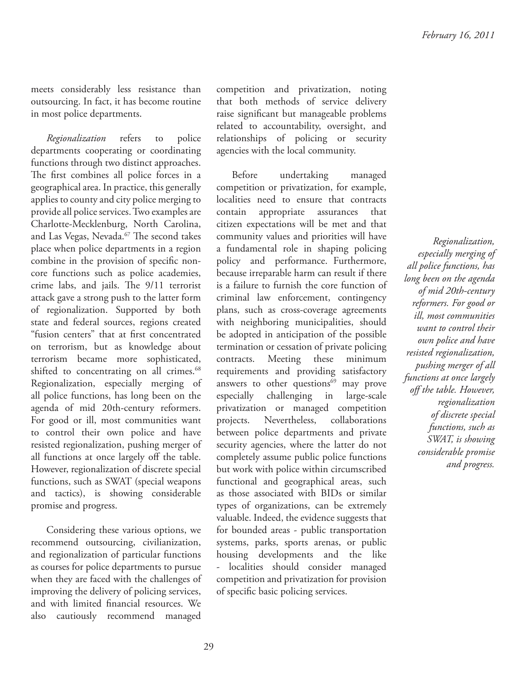meets considerably less resistance than outsourcing. In fact, it has become routine in most police departments.

*Regionalization* refers to police departments cooperating or coordinating functions through two distinct approaches. The first combines all police forces in a geographical area. In practice, this generally applies to county and city police merging to provide all police services. Two examples are Charlotte-Mecklenburg, North Carolina, and Las Vegas, Nevada.<sup>67</sup> The second takes place when police departments in a region combine in the provision of specific noncore functions such as police academies, crime labs, and jails. The 9/11 terrorist attack gave a strong push to the latter form of regionalization. Supported by both state and federal sources, regions created "fusion centers" that at first concentrated on terrorism, but as knowledge about terrorism became more sophisticated, shifted to concentrating on all crimes.<sup>68</sup> Regionalization, especially merging of all police functions, has long been on the agenda of mid 20th-century reformers. For good or ill, most communities want to control their own police and have resisted regionalization, pushing merger of all functions at once largely off the table. However, regionalization of discrete special functions, such as SWAT (special weapons and tactics), is showing considerable promise and progress.

Considering these various options, we recommend outsourcing, civilianization, and regionalization of particular functions as courses for police departments to pursue when they are faced with the challenges of improving the delivery of policing services, and with limited financial resources. We also cautiously recommend managed

competition and privatization, noting that both methods of service delivery raise significant but manageable problems related to accountability, oversight, and relationships of policing or security agencies with the local community.

Before undertaking managed competition or privatization, for example, localities need to ensure that contracts contain appropriate assurances that citizen expectations will be met and that community values and priorities will have a fundamental role in shaping policing policy and performance. Furthermore, because irreparable harm can result if there is a failure to furnish the core function of criminal law enforcement, contingency plans, such as cross-coverage agreements with neighboring municipalities, should be adopted in anticipation of the possible termination or cessation of private policing contracts. Meeting these minimum requirements and providing satisfactory answers to other questions $^{69}$  may prove especially challenging in large-scale privatization or managed competition projects. Nevertheless, collaborations between police departments and private security agencies, where the latter do not completely assume public police functions but work with police within circumscribed functional and geographical areas, such as those associated with BIDs or similar types of organizations, can be extremely valuable. Indeed, the evidence suggests that for bounded areas - public transportation systems, parks, sports arenas, or public housing developments and the like - localities should consider managed competition and privatization for provision of specific basic policing services.

*Regionalization, especially merging of all police functions, has long been on the agenda of mid 20th-century reformers. For good or ill, most communities want to control their own police and have resisted regionalization, pushing merger of all functions at once largely off the table. However, regionalization of discrete special functions, such as SWAT, is showing considerable promise and progress.*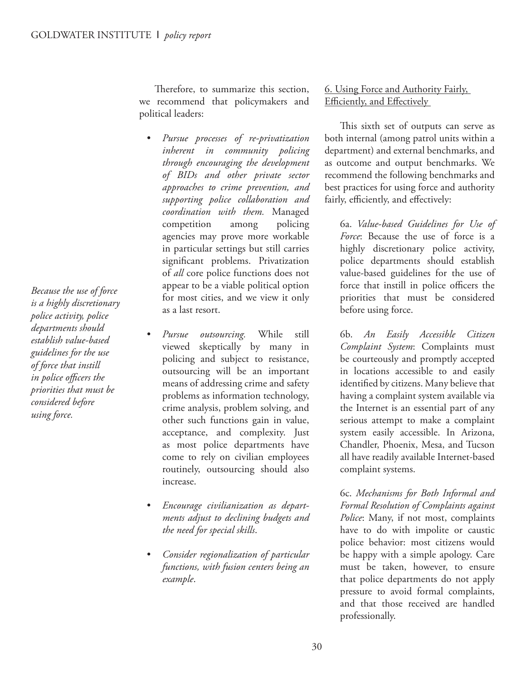Therefore, to summarize this section, we recommend that policymakers and political leaders:

- *Pursue processes of re-privatization inherent in community policing through encouraging the development of BIDs and other private sector approaches to crime prevention, and supporting police collaboration and coordination with them.* Managed competition among policing agencies may prove more workable in particular settings but still carries significant problems. Privatization of *all* core police functions does not appear to be a viable political option for most cities, and we view it only as a last resort.
- *Pursue outsourcing.* While still viewed skeptically by many in policing and subject to resistance, outsourcing will be an important means of addressing crime and safety problems as information technology, crime analysis, problem solving, and other such functions gain in value, acceptance, and complexity. Just as most police departments have come to rely on civilian employees routinely, outsourcing should also increase.
- *Encourage civilianization as departments adjust to declining budgets and the need for special skills*.
- *Consider regionalization of particular functions, with fusion centers being an example*.

6. Using Force and Authority Fairly, Efficiently, and Effectively

This sixth set of outputs can serve as both internal (among patrol units within a department) and external benchmarks, and as outcome and output benchmarks. We recommend the following benchmarks and best practices for using force and authority fairly, efficiently, and effectively:

6a. *Value-based Guidelines for Use of Force*: Because the use of force is a highly discretionary police activity, police departments should establish value-based guidelines for the use of force that instill in police officers the priorities that must be considered before using force.

6b. *An Easily Accessible Citizen Complaint System*: Complaints must be courteously and promptly accepted in locations accessible to and easily identified by citizens. Many believe that having a complaint system available via the Internet is an essential part of any serious attempt to make a complaint system easily accessible. In Arizona, Chandler, Phoenix, Mesa, and Tucson all have readily available Internet-based complaint systems.

6c. *Mechanisms for Both Informal and Formal Resolution of Complaints against Police*: Many, if not most, complaints have to do with impolite or caustic police behavior: most citizens would be happy with a simple apology. Care must be taken, however, to ensure that police departments do not apply pressure to avoid formal complaints, and that those received are handled professionally.

*Because the use of force is a highly discretionary police activity, police departments should establish value-based guidelines for the use of force that instill in police officers the priorities that must be considered before using force.*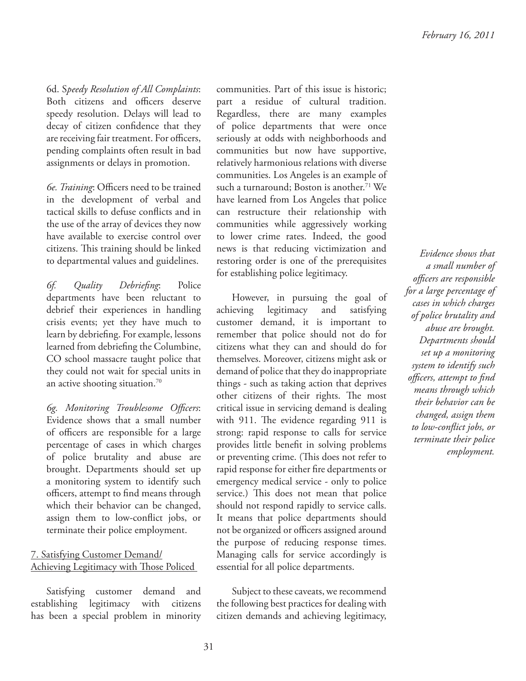6d. S*peedy Resolution of All Complaints*: Both citizens and officers deserve speedy resolution. Delays will lead to decay of citizen confidence that they are receiving fair treatment. For officers, pending complaints often result in bad assignments or delays in promotion.

*6e. Training*: Officers need to be trained in the development of verbal and tactical skills to defuse conflicts and in the use of the array of devices they now have available to exercise control over citizens. This training should be linked to departmental values and guidelines.

*6f. Quality Debriefing*: Police departments have been reluctant to debrief their experiences in handling crisis events; yet they have much to learn by debriefing. For example, lessons learned from debriefing the Columbine, CO school massacre taught police that they could not wait for special units in an active shooting situation.<sup>70</sup>

*6g. Monitoring Troublesome Offi cers*: Evidence shows that a small number of officers are responsible for a large percentage of cases in which charges of police brutality and abuse are brought. Departments should set up a monitoring system to identify such officers, attempt to find means through which their behavior can be changed, assign them to low-conflict jobs, or terminate their police employment.

#### 7. Satisfying Customer Demand/ Achieving Legitimacy with Those Policed

Satisfying customer demand and establishing legitimacy with citizens has been a special problem in minority

communities. Part of this issue is historic; part a residue of cultural tradition. Regardless, there are many examples of police departments that were once seriously at odds with neighborhoods and communities but now have supportive, relatively harmonious relations with diverse communities. Los Angeles is an example of such a turnaround; Boston is another.<sup>71</sup> We have learned from Los Angeles that police can restructure their relationship with communities while aggressively working to lower crime rates. Indeed, the good news is that reducing victimization and restoring order is one of the prerequisites for establishing police legitimacy.

However, in pursuing the goal of achieving legitimacy and satisfying customer demand, it is important to remember that police should not do for citizens what they can and should do for themselves. Moreover, citizens might ask or demand of police that they do inappropriate things - such as taking action that deprives other citizens of their rights. The most critical issue in servicing demand is dealing with 911. The evidence regarding 911 is strong: rapid response to calls for service provides little benefit in solving problems or preventing crime. (This does not refer to rapid response for either fire departments or emergency medical service - only to police service.) This does not mean that police should not respond rapidly to service calls. It means that police departments should not be organized or officers assigned around the purpose of reducing response times. Managing calls for service accordingly is essential for all police departments.

Subject to these caveats, we recommend the following best practices for dealing with citizen demands and achieving legitimacy,

*Evidence shows that a small number of offi cers are responsible for a large percentage of cases in which charges of police brutality and abuse are brought. Departments should set up a monitoring system to identify such offi cers, attempt to fi nd means through which their behavior can be changed, assign them to low-confl ict jobs, or terminate their police employment.*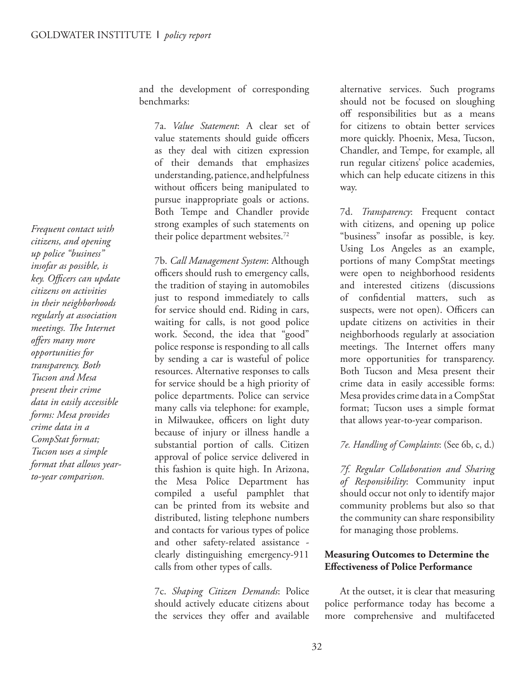*Frequent contact with citizens, and opening up police "business" insofar as possible, is key. Offi cers can update citizens on activities in their neighborhoods regularly at association meetings. The Internet off ers many more opportunities for transparency. Both Tucson and Mesa present their crime data in easily accessible forms: Mesa provides crime data in a CompStat format; Tucson uses a simple format that allows yearto-year comparison.*

and the development of corresponding benchmarks:

7a. *Value Statement*: A clear set of value statements should guide officers as they deal with citizen expression of their demands that emphasizes understanding, patience, and helpfulness without officers being manipulated to pursue inappropriate goals or actions. Both Tempe and Chandler provide strong examples of such statements on their police department websites.<sup>72</sup>

7b. *Call Management System*: Although officers should rush to emergency calls, the tradition of staying in automobiles just to respond immediately to calls for service should end. Riding in cars, waiting for calls, is not good police work. Second, the idea that "good" police response is responding to all calls by sending a car is wasteful of police resources. Alternative responses to calls for service should be a high priority of police departments. Police can service many calls via telephone: for example, in Milwaukee, officers on light duty because of injury or illness handle a substantial portion of calls. Citizen approval of police service delivered in this fashion is quite high. In Arizona, the Mesa Police Department has compiled a useful pamphlet that can be printed from its website and distributed, listing telephone numbers and contacts for various types of police and other safety-related assistance clearly distinguishing emergency-911 calls from other types of calls.

7c. *Shaping Citizen Demands*: Police should actively educate citizens about the services they offer and available

alternative services. Such programs should not be focused on sloughing off responsibilities but as a means for citizens to obtain better services more quickly. Phoenix, Mesa, Tucson, Chandler, and Tempe, for example, all run regular citizens' police academies, which can help educate citizens in this way.

7d. *Transparency*: Frequent contact with citizens, and opening up police "business" insofar as possible, is key. Using Los Angeles as an example, portions of many CompStat meetings were open to neighborhood residents and interested citizens (discussions of confidential matters, such as suspects, were not open). Officers can update citizens on activities in their neighborhoods regularly at association meetings. The Internet offers many more opportunities for transparency. Both Tucson and Mesa present their crime data in easily accessible forms: Mesa provides crime data in a CompStat format; Tucson uses a simple format that allows year-to-year comparison.

#### *7e. Handling of Complaints*: (See 6b, c, d.)

*7f. Regular Collaboration and Sharing of Responsibility*: Community input should occur not only to identify major community problems but also so that the community can share responsibility for managing those problems.

#### **Measuring Outcomes to Determine the Effectiveness of Police Performance**

At the outset, it is clear that measuring police performance today has become a more comprehensive and multifaceted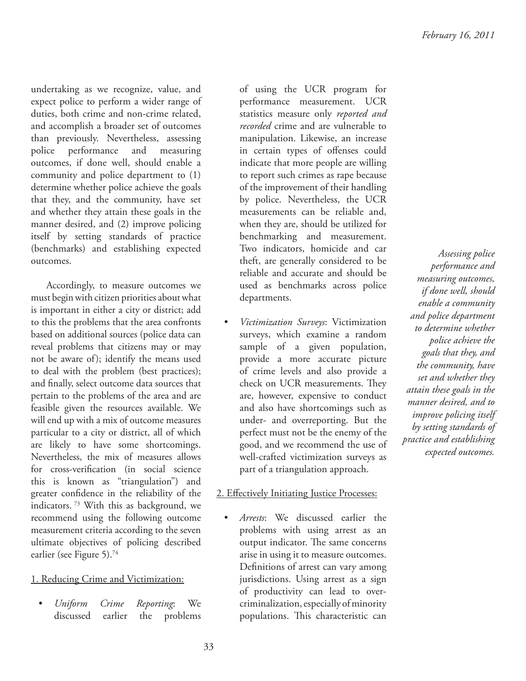undertaking as we recognize, value, and expect police to perform a wider range of duties, both crime and non-crime related, and accomplish a broader set of outcomes than previously. Nevertheless, assessing police performance and measuring outcomes, if done well, should enable a community and police department to (1) determine whether police achieve the goals that they, and the community, have set and whether they attain these goals in the manner desired, and (2) improve policing itself by setting standards of practice (benchmarks) and establishing expected outcomes.

Accordingly, to measure outcomes we must begin with citizen priorities about what is important in either a city or district; add to this the problems that the area confronts based on additional sources (police data can reveal problems that citizens may or may not be aware of); identify the means used to deal with the problem (best practices); and finally, select outcome data sources that pertain to the problems of the area and are feasible given the resources available. We will end up with a mix of outcome measures particular to a city or district, all of which are likely to have some shortcomings. Nevertheless, the mix of measures allows for cross-verification (in social science this is known as "triangulation") and greater confidence in the reliability of the indicators.<sup>73</sup> With this as background, we recommend using the following outcome measurement criteria according to the seven ultimate objectives of policing described earlier (see Figure 5).<sup>74</sup>

#### 1. Reducing Crime and Victimization:

• *Uniform Crime Reporting*: We discussed earlier the problems

of using the UCR program for performance measurement. UCR statistics measure only *reported and recorded* crime and are vulnerable to manipulation. Likewise, an increase in certain types of offenses could indicate that more people are willing to report such crimes as rape because of the improvement of their handling by police. Nevertheless, the UCR measurements can be reliable and, when they are, should be utilized for benchmarking and measurement. Two indicators, homicide and car theft, are generally considered to be reliable and accurate and should be used as benchmarks across police departments.

• *Victimization Surveys*: Victimization surveys, which examine a random sample of a given population, provide a more accurate picture of crime levels and also provide a check on UCR measurements. They are, however, expensive to conduct and also have shortcomings such as under- and overreporting. But the perfect must not be the enemy of the good, and we recommend the use of well-crafted victimization surveys as part of a triangulation approach.

#### 2. Effectively Initiating Justice Processes:

• *Arrests*: We discussed earlier the problems with using arrest as an output indicator. The same concerns arise in using it to measure outcomes. Definitions of arrest can vary among jurisdictions. Using arrest as a sign of productivity can lead to overcriminalization, especially of minority populations. This characteristic can

*Assessing police performance and measuring outcomes, if done well, should enable a community and police department to determine whether police achieve the goals that they, and the community, have set and whether they attain these goals in the manner desired, and to improve policing itself by setting standards of practice and establishing expected outcomes.*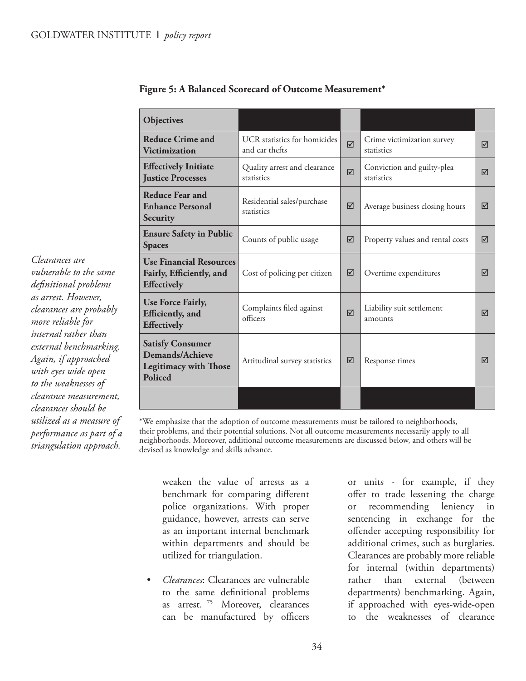*Clearances are* 

*vulnerable to the same defi nitional problems as arrest. However, clearances are probably more reliable for internal rather than external benchmarking. Again, if approached with eyes wide open to the weaknesses of clearance measurement, clearances should be utilized as a measure of performance as part of a triangulation approach.*

| Objectives                                                                                   |                                                |                |                                          |   |
|----------------------------------------------------------------------------------------------|------------------------------------------------|----------------|------------------------------------------|---|
| <b>Reduce Crime and</b><br><b>Victimization</b>                                              | UCR statistics for homicides<br>and car thefts |                | Crime victimization survey<br>statistics | ⊠ |
| <b>Effectively Initiate</b><br><b>Justice Processes</b>                                      | Quality arrest and clearance<br>statistics     | $\overline{M}$ | Conviction and guilty-plea<br>statistics | ⊠ |
| Reduce Fear and<br><b>Enhance Personal</b><br>Security                                       | Residential sales/purchase<br>statistics       |                | Average business closing hours           | ⊠ |
| <b>Ensure Safety in Public</b><br><b>Spaces</b>                                              | Counts of public usage                         | 冈              | Property values and rental costs         | ⊠ |
| <b>Use Financial Resources</b><br>Fairly, Efficiently, and<br><b>Effectively</b>             | Cost of policing per citizen                   | ⊠              | Overtime expenditures                    | ⊠ |
| Use Force Fairly,<br>Efficiently, and<br><b>Effectively</b>                                  | Complaints filed against<br>officers           | $\overline{M}$ | Liability suit settlement<br>amounts     | ⊠ |
| <b>Satisfy Consumer</b><br>Demands/Achieve<br><b>Legitimacy with Those</b><br><b>Policed</b> | Attitudinal survey statistics                  | ⊠              | Response times                           | ☑ |
|                                                                                              |                                                |                |                                          |   |

**Figure 5: A Balanced Scorecard of Outcome Measurement\***

\*We emphasize that the adoption of outcome measurements must be tailored to neighborhoods, their problems, and their potential solutions. Not all outcome measurements necessarily apply to all neighborhoods. Moreover, additional outcome measurements are discussed below, and others will be devised as knowledge and skills advance.

weaken the value of arrests as a benchmark for comparing different police organizations. With proper guidance, however, arrests can serve as an important internal benchmark within departments and should be utilized for triangulation.

• *Clearances*: Clearances are vulnerable to the same definitional problems as arrest.<sup>75</sup> Moreover, clearances can be manufactured by officers or units - for example, if they offer to trade lessening the charge or recommending leniency in sentencing in exchange for the offender accepting responsibility for additional crimes, such as burglaries. Clearances are probably more reliable for internal (within departments) rather than external (between departments) benchmarking. Again, if approached with eyes-wide-open to the weaknesses of clearance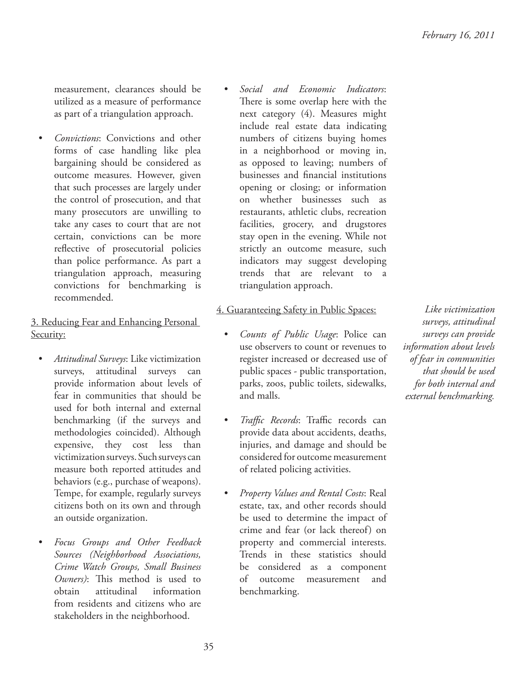measurement, clearances should be utilized as a measure of performance as part of a triangulation approach.

• *Convictions*: Convictions and other forms of case handling like plea bargaining should be considered as outcome measures. However, given that such processes are largely under the control of prosecution, and that many prosecutors are unwilling to take any cases to court that are not certain, convictions can be more reflective of prosecutorial policies than police performance. As part a triangulation approach, measuring convictions for benchmarking is recommended.

#### 3. Reducing Fear and Enhancing Personal Security:

- *Attitudinal Surveys*: Like victimization surveys, attitudinal surveys can provide information about levels of fear in communities that should be used for both internal and external benchmarking (if the surveys and methodologies coincided). Although expensive, they cost less than victimization surveys. Such surveys can measure both reported attitudes and behaviors (e.g., purchase of weapons). Tempe, for example, regularly surveys citizens both on its own and through an outside organization.
- *Focus Groups and Other Feedback Sources (Neighborhood Associations, Crime Watch Groups, Small Business Owners*): This method is used to obtain attitudinal information from residents and citizens who are stakeholders in the neighborhood.

• *Social and Economic Indicators*: There is some overlap here with the next category (4). Measures might include real estate data indicating numbers of citizens buying homes in a neighborhood or moving in, as opposed to leaving; numbers of businesses and financial institutions opening or closing; or information on whether businesses such as restaurants, athletic clubs, recreation facilities, grocery, and drugstores stay open in the evening. While not strictly an outcome measure, such indicators may suggest developing trends that are relevant to a triangulation approach.

#### 4. Guaranteeing Safety in Public Spaces:

- *Counts of Public Usage*: Police can use observers to count or revenues to register increased or decreased use of public spaces - public transportation, parks, zoos, public toilets, sidewalks, and malls.
- *Traffic Records*: Traffic records can provide data about accidents, deaths, injuries, and damage and should be considered for outcome measurement of related policing activities.
- *Property Values and Rental Costs*: Real estate, tax, and other records should be used to determine the impact of crime and fear (or lack thereof) on property and commercial interests. Trends in these statistics should be considered as a component of outcome measurement and benchmarking.

*Like victimization surveys, attitudinal surveys can provide information about levels of fear in communities that should be used for both internal and external benchmarking.*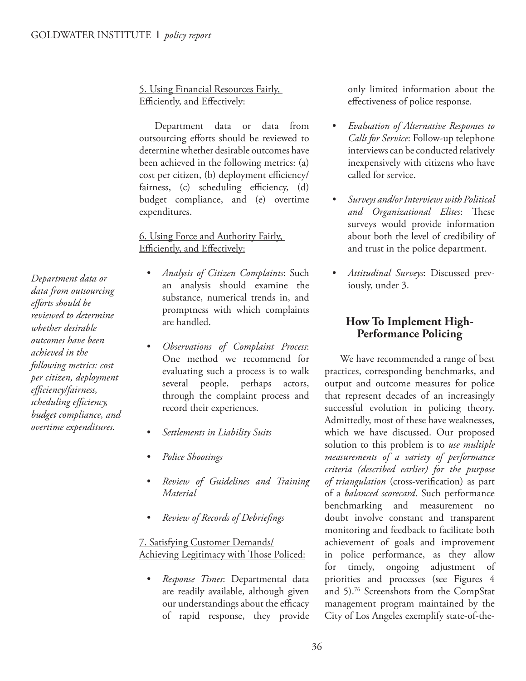#### 5. Using Financial Resources Fairly, Efficiently, and Effectively:

Department data or data from outsourcing efforts should be reviewed to determine whether desirable outcomes have been achieved in the following metrics: (a) cost per citizen, (b) deployment efficiency/ fairness,  $(c)$  scheduling efficiency,  $(d)$ budget compliance, and (e) overtime expenditures.

#### 6. Using Force and Authority Fairly, Efficiently, and Effectively:

- *Analysis of Citizen Complaints*: Such an analysis should examine the substance, numerical trends in, and promptness with which complaints are handled.
- *Observations of Complaint Process*: One method we recommend for evaluating such a process is to walk several people, perhaps actors, through the complaint process and record their experiences.
- *Settlements in Liability Suits*
- *Police Shootings*
- *Review of Guidelines and Training Material*
- *Review of Records of Debriefi ngs*

7. Satisfying Customer Demands/ Achieving Legitimacy with Those Policed:

• *Response Times*: Departmental data are readily available, although given our understandings about the efficacy of rapid response, they provide only limited information about the effectiveness of police response.

- *Evaluation of Alternative Responses to Calls for Service*: Follow-up telephone interviews can be conducted relatively inexpensively with citizens who have called for service.
- *Surveys and/or Interviews with Political and Organizational Elites*: These surveys would provide information about both the level of credibility of and trust in the police department.
- *Attitudinal Surveys*: Discussed previously, under 3.

#### **How To Implement High-Performance Policing**

We have recommended a range of best practices, corresponding benchmarks, and output and outcome measures for police that represent decades of an increasingly successful evolution in policing theory. Admittedly, most of these have weaknesses, which we have discussed. Our proposed solution to this problem is to *use multiple measurements of a variety of performance criteria (described earlier) for the purpose*  of triangulation (cross-verification) as part of a *balanced scorecard*. Such performance benchmarking and measurement no doubt involve constant and transparent monitoring and feedback to facilitate both achievement of goals and improvement in police performance, as they allow for timely, ongoing adjustment of priorities and processes (see Figures 4 and 5).<sup>76</sup> Screenshots from the CompStat management program maintained by the City of Los Angeles exemplify state-of-the-

*Department data or data from outsourcing eff orts should be reviewed to determine whether desirable outcomes have been achieved in the following metrics: cost per citizen, deployment effi ciency/fairness, scheduling effi ciency, budget compliance, and overtime expenditures.*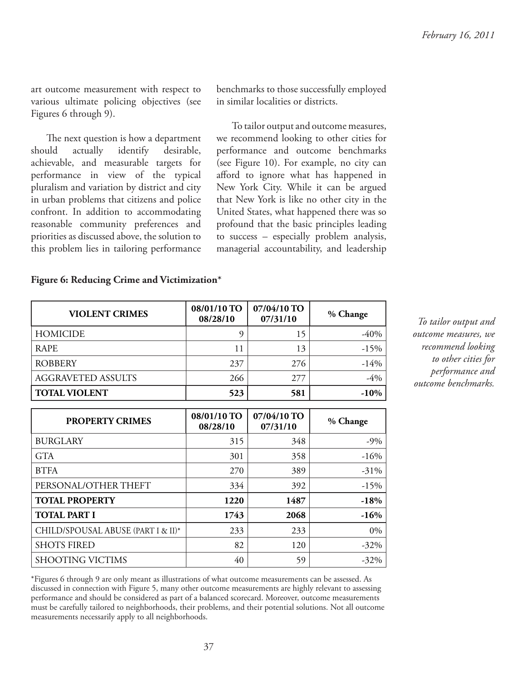art outcome measurement with respect to various ultimate policing objectives (see Figures 6 through 9).

The next question is how a department should actually identify desirable, achievable, and measurable targets for performance in view of the typical pluralism and variation by district and city in urban problems that citizens and police confront. In addition to accommodating reasonable community preferences and priorities as discussed above, the solution to this problem lies in tailoring performance benchmarks to those successfully employed in similar localities or districts.

To tailor output and outcome measures, we recommend looking to other cities for performance and outcome benchmarks (see Figure 10). For example, no city can afford to ignore what has happened in New York City. While it can be argued that New York is like no other city in the United States, what happened there was so profound that the basic principles leading to success – especially problem analysis, managerial accountability, and leadership

#### **Figure 6: Reducing Crime and Victimization\***

| <b>VIOLENT CRIMES</b>     | 08/01/10 TO<br>08/28/10 | 07/04/10 TO<br>07/31/10 | % Change |
|---------------------------|-------------------------|-------------------------|----------|
| HOMICIDE                  | Q                       | 15                      | -40%     |
| <b>RAPE</b>               | 11                      | 13                      | $-15\%$  |
| <b>ROBBERY</b>            | 237                     | 276                     | $-14%$   |
| <b>AGGRAVETED ASSULTS</b> | 266                     | 277                     | $-4\%$   |
| <b>TOTAL VIOLENT</b>      | 523                     | 581                     | $-10\%$  |

| <b>PROPERTY CRIMES</b>             | $08/01/10$ TO<br>08/28/10 | 07/04/10 TO<br>07/31/10 | % Change |
|------------------------------------|---------------------------|-------------------------|----------|
| <b>BURGLARY</b>                    | 315                       | 348                     | $-9\%$   |
| <b>GTA</b>                         | 301                       | 358                     | $-16%$   |
| <b>BTFA</b>                        | 270                       | 389                     | $-31\%$  |
| PERSONAL/OTHER THEFT               | 334                       | 392                     | $-15%$   |
| <b>TOTAL PROPERTY</b>              | 1220                      | 1487                    | $-18%$   |
| <b>TOTAL PART I</b>                | 1743                      | 2068                    | $-16%$   |
| CHILD/SPOUSAL ABUSE (PART I & II)* | 233                       | 233                     | $0\%$    |
| <b>SHOTS FIRED</b>                 | 82                        | 120                     | $-32\%$  |
| <b>SHOOTING VICTIMS</b>            | 40                        | 59                      | $-32\%$  |

*To tailor output and outcome measures, we recommend looking to other cities for performance and outcome benchmarks.*

\*Figures 6 through 9 are only meant as illustrations of what outcome measurements can be assessed. As discussed in connection with Figure 5, many other outcome measurements are highly relevant to assessing performance and should be considered as part of a balanced scorecard. Moreover, outcome measurements must be carefully tailored to neighborhoods, their problems, and their potential solutions. Not all outcome measurements necessarily apply to all neighborhoods.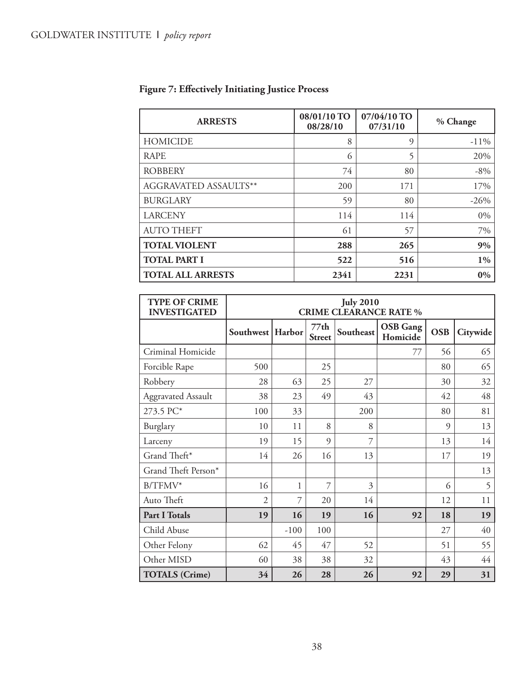| <b>ARRESTS</b>           | 08/01/10 TO<br>08/28/10 | 07/04/10 TO<br>07/31/10 | % Change |
|--------------------------|-------------------------|-------------------------|----------|
| <b>HOMICIDE</b>          | 8                       | 9                       | $-11%$   |
| <b>RAPE</b>              | 6                       | 5                       | 20%      |
| <b>ROBBERY</b>           | 74                      | 80                      | $-8\%$   |
| AGGRAVATED ASSAULTS**    | 200                     | 171                     | 17%      |
| <b>BURGLARY</b>          | 59                      | 80                      | $-26%$   |
| <b>LARCENY</b>           | 114                     | 114                     | $0\%$    |
| <b>AUTO THEFT</b>        | 61                      | 57                      | 7%       |
| <b>TOTAL VIOLENT</b>     | 288                     | 265                     | 9%       |
| <b>TOTAL PART I</b>      | 522                     | 516                     | $1\%$    |
| <b>TOTAL ALL ARRESTS</b> | 2341                    | 2231                    | $0\%$    |

## Figure 7: Effectively Initiating Justice Process

| <b>TYPE OF CRIME</b><br><b>INVESTIGATED</b> | <b>July 2010</b><br><b>CRIME CLEARANCE RATE %</b> |        |                       |           |                             |            |          |
|---------------------------------------------|---------------------------------------------------|--------|-----------------------|-----------|-----------------------------|------------|----------|
|                                             | Southwest   Harbor                                |        | 77th<br><b>Street</b> | Southeast | <b>OSB</b> Gang<br>Homicide | <b>OSB</b> | Citywide |
| Criminal Homicide                           |                                                   |        |                       |           | 77                          | 56         | 65       |
| Forcible Rape                               | 500                                               |        | 25                    |           |                             | 80         | 65       |
| Robbery                                     | 28                                                | 63     | 25                    | 27        |                             | 30         | 32       |
| <b>Aggravated Assault</b>                   | 38                                                | 23     | 49                    | 43        |                             | 42         | 48       |
| 273.5 PC*                                   | 100                                               | 33     |                       | 200       |                             | 80         | 81       |
| Burglary                                    | 10                                                | 11     | 8                     | 8         |                             | $\Omega$   | 13       |
| Larceny                                     | 19                                                | 15     | 9                     | 7         |                             | 13         | 14       |
| Grand Theft*                                | 14                                                | 26     | 16                    | 13        |                             | 17         | 19       |
| Grand Theft Person*                         |                                                   |        |                       |           |                             |            | 13       |
| $B/TFMV^*$                                  | 16                                                | 1      | 7                     | 3         |                             | 6          | 5        |
| Auto Theft                                  | $\overline{2}$                                    | 7      | 20                    | 14        |                             | 12         | 11       |
| Part I Totals                               | 19                                                | 16     | 19                    | 16        | 92                          | 18         | 19       |
| Child Abuse                                 |                                                   | $-100$ | 100                   |           |                             | 27         | 40       |
| Other Felony                                | 62                                                | 45     | 47                    | 52        |                             | 51         | 55       |
| Other MISD                                  | 60                                                | 38     | 38                    | 32        |                             | 43         | 44       |
| <b>TOTALS</b> (Crime)                       | 34                                                | 26     | 28                    | 26        | 92                          | 29         | 31       |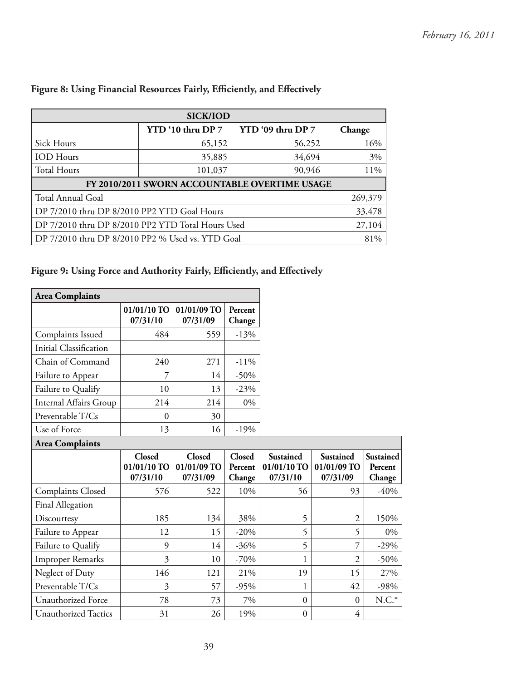| <b>SICK/IOD</b>                                   |                                               |                   |        |  |  |  |  |
|---------------------------------------------------|-----------------------------------------------|-------------------|--------|--|--|--|--|
|                                                   | YTD '10 thru DP 7                             | YTD '09 thru DP 7 | Change |  |  |  |  |
| Sick Hours                                        | 65,152                                        | 56,252            | 16%    |  |  |  |  |
| <b>IOD</b> Hours                                  | 35,885                                        | 34,694            | 3%     |  |  |  |  |
| <b>Total Hours</b>                                | 101,037                                       | 90,946            | 11%    |  |  |  |  |
|                                                   | FY 2010/2011 SWORN ACCOUNTABLE OVERTIME USAGE |                   |        |  |  |  |  |
| Total Annual Goal                                 | 269,379                                       |                   |        |  |  |  |  |
| DP 7/2010 thru DP 8/2010 PP2 YTD Goal Hours       | 33,478                                        |                   |        |  |  |  |  |
| DP 7/2010 thru DP 8/2010 PP2 YTD Total Hours Used | 27,104                                        |                   |        |  |  |  |  |
| DP 7/2010 thru DP 8/2010 PP2 % Used vs. YTD Goal  | 81%                                           |                   |        |  |  |  |  |

#### Figure 8: Using Financial Resources Fairly, Efficiently, and Effectively

## Figure 9: Using Force and Authority Fairly, Efficiently, and Effectively

| <b>Area Complaints</b>      |                                   |                                          |                                    |                                      |                                      |                                |
|-----------------------------|-----------------------------------|------------------------------------------|------------------------------------|--------------------------------------|--------------------------------------|--------------------------------|
|                             | 01/01/10 TO<br>07/31/10           | 01/01/09 TO<br>07/31/09                  | Percent<br>Change                  |                                      |                                      |                                |
| Complaints Issued           | 484                               | 559                                      | $-13%$                             |                                      |                                      |                                |
| Initial Classification      |                                   |                                          |                                    |                                      |                                      |                                |
| Chain of Command            | 240                               | 271                                      | $-11%$                             |                                      |                                      |                                |
| Failure to Appear           | 7                                 | 14                                       | $-50%$                             |                                      |                                      |                                |
| Failure to Qualify          | 10                                | 13                                       | $-23%$                             |                                      |                                      |                                |
| Internal Affairs Group      | 214                               | 214                                      | 0%                                 |                                      |                                      |                                |
| Preventable T/Cs            | $\overline{0}$                    | 30                                       |                                    |                                      |                                      |                                |
| Use of Force                | 13                                | 16                                       | $-19%$                             |                                      |                                      |                                |
| <b>Area Complaints</b>      |                                   |                                          |                                    |                                      |                                      |                                |
|                             | Closed<br>01/01/10 TO<br>07/31/10 | <b>Closed</b><br>01/01/09 TO<br>07/31/09 | <b>Closed</b><br>Percent<br>Change | Sustained<br>01/01/10 TO<br>07/31/10 | Sustained<br>01/01/09 TO<br>07/31/09 | Sustained<br>Percent<br>Change |
| <b>Complaints Closed</b>    | 576                               | 522                                      | 10%                                | 56                                   | 93                                   | $-40%$                         |
| Final Allegation            |                                   |                                          |                                    |                                      |                                      |                                |
| Discourtesy                 | 185                               | 134                                      | 38%                                | 5                                    | $\overline{2}$                       | 150%                           |
| Failure to Appear           | 12                                | 15                                       | $-20%$                             | 5                                    | 5                                    | 0%                             |
| Failure to Qualify          | 9                                 | 14                                       | $-36%$                             | 5                                    | 7                                    | $-29%$                         |
| <b>Improper Remarks</b>     | 3                                 | 10                                       | $-70%$                             | 1                                    | $\overline{2}$                       | $-50\%$                        |
| Neglect of Duty             | 146                               | 121                                      | 21%                                | 19                                   | 15                                   | 27%                            |
| Preventable T/Cs            | 3                                 | 57                                       | $-95%$                             | 1                                    | 42                                   | $-98%$                         |
| Unauthorized Force          | 78                                | 73                                       | 7%                                 | $\boldsymbol{0}$                     | $\boldsymbol{0}$                     | $N.C.*$                        |
| <b>Unauthorized Tactics</b> | 31                                | 26                                       | 19%                                | $\boldsymbol{0}$                     | $\overline{4}$                       |                                |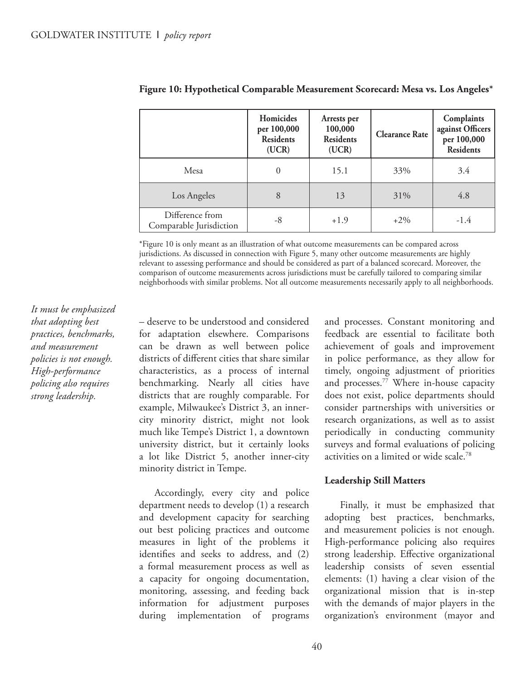|                                            | Homicides<br>per 100,000<br><b>Residents</b><br>(UCR) | Arrests per<br>100,000<br><b>Residents</b><br>(UCR) | <b>Clearance Rate</b> | Complaints<br>against Officers<br>per 100,000<br><b>Residents</b> |
|--------------------------------------------|-------------------------------------------------------|-----------------------------------------------------|-----------------------|-------------------------------------------------------------------|
| Mesa                                       |                                                       | 15.1                                                | 33%                   | 3.4                                                               |
| Los Angeles                                | 8                                                     | 13                                                  | 31%                   | 4.8                                                               |
| Difference from<br>Comparable Jurisdiction | -8                                                    | $+1.9$                                              | $+2\%$                | $-1.4$                                                            |

| Figure 10: Hypothetical Comparable Measurement Scorecard: Mesa vs. Los Angeles* |  |  |  |
|---------------------------------------------------------------------------------|--|--|--|
|                                                                                 |  |  |  |

\*Figure 10 is only meant as an illustration of what outcome measurements can be compared across jurisdictions. As discussed in connection with Figure 5, many other outcome measurements are highly relevant to assessing performance and should be considered as part of a balanced scorecard. Moreover, the comparison of outcome measurements across jurisdictions must be carefully tailored to comparing similar neighborhoods with similar problems. Not all outcome measurements necessarily apply to all neighborhoods.

*It must be emphasized that adopting best practices, benchmarks, and measurement policies is not enough. High-performance policing also requires strong leadership.*

– deserve to be understood and considered for adaptation elsewhere. Comparisons can be drawn as well between police districts of different cities that share similar characteristics, as a process of internal benchmarking. Nearly all cities have districts that are roughly comparable. For example, Milwaukee's District 3, an innercity minority district, might not look much like Tempe's District 1, a downtown university district, but it certainly looks a lot like District 5, another inner-city minority district in Tempe.

Accordingly, every city and police department needs to develop (1) a research and development capacity for searching out best policing practices and outcome measures in light of the problems it identifies and seeks to address, and  $(2)$ a formal measurement process as well as a capacity for ongoing documentation, monitoring, assessing, and feeding back information for adjustment purposes during implementation of programs and processes. Constant monitoring and feedback are essential to facilitate both achievement of goals and improvement in police performance, as they allow for timely, ongoing adjustment of priorities and processes.<sup>77</sup> Where in-house capacity does not exist, police departments should consider partnerships with universities or research organizations, as well as to assist periodically in conducting community surveys and formal evaluations of policing activities on a limited or wide scale.<sup>78</sup>

#### **Leadership Still Matters**

Finally, it must be emphasized that adopting best practices, benchmarks, and measurement policies is not enough. High-performance policing also requires strong leadership. Effective organizational leadership consists of seven essential elements: (1) having a clear vision of the organizational mission that is in-step with the demands of major players in the organization's environment (mayor and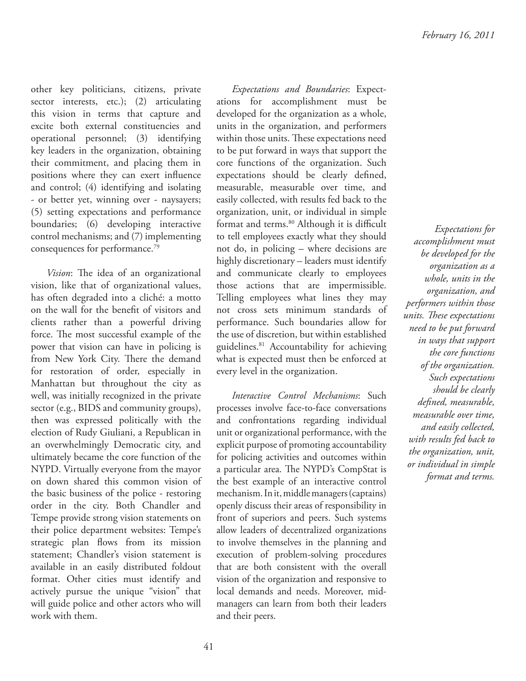other key politicians, citizens, private sector interests, etc.); (2) articulating this vision in terms that capture and excite both external constituencies and operational personnel; (3) identifying key leaders in the organization, obtaining their commitment, and placing them in positions where they can exert influence and control; (4) identifying and isolating - or better yet, winning over - naysayers; (5) setting expectations and performance boundaries; (6) developing interactive control mechanisms; and (7) implementing consequences for performance.<sup>79</sup>

*Vision*: The idea of an organizational vision, like that of organizational values, has often degraded into a cliché: a motto on the wall for the benefit of visitors and clients rather than a powerful driving force. The most successful example of the power that vision can have in policing is from New York City. There the demand for restoration of order, especially in Manhattan but throughout the city as well, was initially recognized in the private sector (e.g., BIDS and community groups), then was expressed politically with the election of Rudy Giuliani, a Republican in an overwhelmingly Democratic city, and ultimately became the core function of the NYPD. Virtually everyone from the mayor on down shared this common vision of the basic business of the police - restoring order in the city. Both Chandler and Tempe provide strong vision statements on their police department websites: Tempe's strategic plan flows from its mission statement; Chandler's vision statement is available in an easily distributed foldout format. Other cities must identify and actively pursue the unique "vision" that will guide police and other actors who will work with them.

*Expectations and Boundaries*: Expectations for accomplishment must be developed for the organization as a whole, units in the organization, and performers within those units. These expectations need to be put forward in ways that support the core functions of the organization. Such expectations should be clearly defined, measurable, measurable over time, and easily collected, with results fed back to the organization, unit, or individual in simple format and terms.<sup>80</sup> Although it is difficult to tell employees exactly what they should not do, in policing – where decisions are highly discretionary – leaders must identify and communicate clearly to employees those actions that are impermissible. Telling employees what lines they may not cross sets minimum standards of performance. Such boundaries allow for the use of discretion, but within established guidelines.<sup>81</sup> Accountability for achieving what is expected must then be enforced at every level in the organization.

*Interactive Control Mechanisms*: Such processes involve face-to-face conversations and confrontations regarding individual unit or organizational performance, with the explicit purpose of promoting accountability for policing activities and outcomes within a particular area. The NYPD's CompStat is the best example of an interactive control mechanism. In it, middle managers (captains) openly discuss their areas of responsibility in front of superiors and peers. Such systems allow leaders of decentralized organizations to involve themselves in the planning and execution of problem-solving procedures that are both consistent with the overall vision of the organization and responsive to local demands and needs. Moreover, midmanagers can learn from both their leaders and their peers.

*Expectations for accomplishment must be developed for the organization as a whole, units in the organization, and performers within those*   $units.$  *These expectations need to be put forward in ways that support the core functions of the organization. Such expectations should be clearly defi ned, measurable, measurable over time, and easily collected, with results fed back to the organization, unit, or individual in simple format and terms.*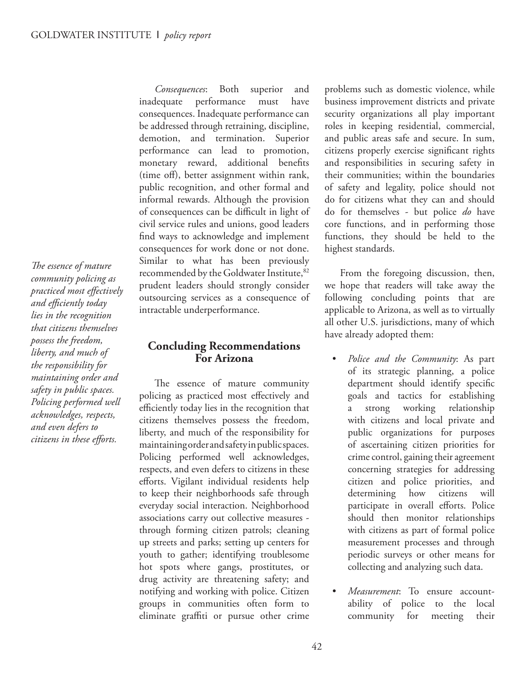The essence of mature *community policing as practiced most effectively and effi ciently today lies in the recognition that citizens themselves possess the freedom, liberty, and much of the responsibility for maintaining order and safety in public spaces. Policing performed well acknowledges, respects, and even defers to citizens in these efforts.* 

*Consequences*: Both superior and inadequate performance must have consequences. Inadequate performance can be addressed through retraining, discipline, demotion, and termination. Superior performance can lead to promotion, monetary reward, additional benefits (time off), better assignment within rank, public recognition, and other formal and informal rewards. Although the provision of consequences can be difficult in light of civil service rules and unions, good leaders find ways to acknowledge and implement consequences for work done or not done. Similar to what has been previously recommended by the Goldwater Institute, 82 prudent leaders should strongly consider outsourcing services as a consequence of intractable underperformance.

#### **Concluding Recommendations For Arizona**

The essence of mature community policing as practiced most effectively and efficiently today lies in the recognition that citizens themselves possess the freedom, liberty, and much of the responsibility for maintaining order and safety in public spaces. Policing performed well acknowledges, respects, and even defers to citizens in these efforts. Vigilant individual residents help to keep their neighborhoods safe through everyday social interaction. Neighborhood associations carry out collective measures through forming citizen patrols; cleaning up streets and parks; setting up centers for youth to gather; identifying troublesome hot spots where gangs, prostitutes, or drug activity are threatening safety; and notifying and working with police. Citizen groups in communities often form to eliminate graffiti or pursue other crime

problems such as domestic violence, while business improvement districts and private security organizations all play important roles in keeping residential, commercial, and public areas safe and secure. In sum, citizens properly exercise significant rights and responsibilities in securing safety in their communities; within the boundaries of safety and legality, police should not do for citizens what they can and should do for themselves - but police *do* have core functions, and in performing those functions, they should be held to the highest standards.

From the foregoing discussion, then, we hope that readers will take away the following concluding points that are applicable to Arizona, as well as to virtually all other U.S. jurisdictions, many of which have already adopted them:

- *Police and the Community*: As part of its strategic planning, a police department should identify specific goals and tactics for establishing a strong working relationship with citizens and local private and public organizations for purposes of ascertaining citizen priorities for crime control, gaining their agreement concerning strategies for addressing citizen and police priorities, and determining how citizens will participate in overall efforts. Police should then monitor relationships with citizens as part of formal police measurement processes and through periodic surveys or other means for collecting and analyzing such data.
- *Measurement*: To ensure accountability of police to the local community for meeting their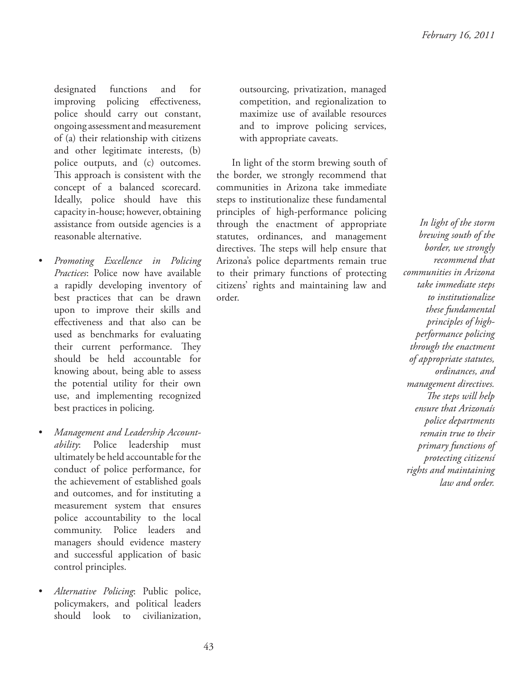designated functions and for improving policing effectiveness, police should carry out constant, ongoing assessment and measurement of (a) their relationship with citizens and other legitimate interests, (b) police outputs, and (c) outcomes. This approach is consistent with the concept of a balanced scorecard. Ideally, police should have this capacity in-house; however, obtaining assistance from outside agencies is a reasonable alternative.

- *Promoting Excellence in Policing Practices*: Police now have available a rapidly developing inventory of best practices that can be drawn upon to improve their skills and eff ectiveness and that also can be used as benchmarks for evaluating their current performance. They should be held accountable for knowing about, being able to assess the potential utility for their own use, and implementing recognized best practices in policing.
- *Management and Leadership Accountability*: Police leadership must ultimately be held accountable for the conduct of police performance, for the achievement of established goals and outcomes, and for instituting a measurement system that ensures police accountability to the local community. Police leaders and managers should evidence mastery and successful application of basic control principles.
- *Alternative Policing*: Public police, policymakers, and political leaders should look to civilianization,

outsourcing, privatization, managed competition, and regionalization to maximize use of available resources and to improve policing services, with appropriate caveats.

In light of the storm brewing south of the border, we strongly recommend that communities in Arizona take immediate steps to institutionalize these fundamental principles of high-performance policing through the enactment of appropriate statutes, ordinances, and management directives. The steps will help ensure that Arizona's police departments remain true to their primary functions of protecting citizens' rights and maintaining law and order.

*In light of the storm brewing south of the border, we strongly recommend that communities in Arizona take immediate steps to institutionalize these fundamental principles of highperformance policing through the enactment of appropriate statutes, ordinances, and management directives. The steps will help ensure that Arizonaís police departments remain true to their primary functions of protecting citizensí rights and maintaining law and order.*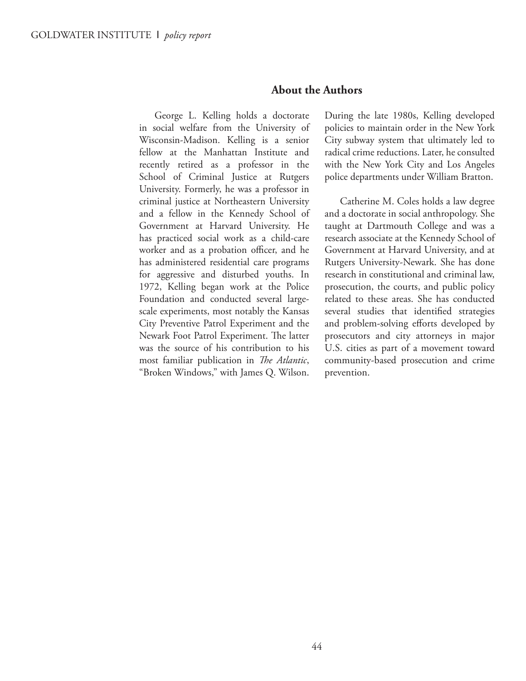#### **About the Authors**

George L. Kelling holds a doctorate in social welfare from the University of Wisconsin-Madison. Kelling is a senior fellow at the Manhattan Institute and recently retired as a professor in the School of Criminal Justice at Rutgers University. Formerly, he was a professor in criminal justice at Northeastern University and a fellow in the Kennedy School of Government at Harvard University. He has practiced social work as a child-care worker and as a probation officer, and he has administered residential care programs for aggressive and disturbed youths. In 1972, Kelling began work at the Police Foundation and conducted several largescale experiments, most notably the Kansas City Preventive Patrol Experiment and the Newark Foot Patrol Experiment. The latter was the source of his contribution to his most familiar publication in *The Atlantic*, "Broken Windows," with James Q. Wilson.

During the late 1980s, Kelling developed policies to maintain order in the New York City subway system that ultimately led to radical crime reductions. Later, he consulted with the New York City and Los Angeles police departments under William Bratton.

Catherine M. Coles holds a law degree and a doctorate in social anthropology. She taught at Dartmouth College and was a research associate at the Kennedy School of Government at Harvard University, and at Rutgers University-Newark. She has done research in constitutional and criminal law, prosecution, the courts, and public policy related to these areas. She has conducted several studies that identified strategies and problem-solving efforts developed by prosecutors and city attorneys in major U.S. cities as part of a movement toward community-based prosecution and crime prevention.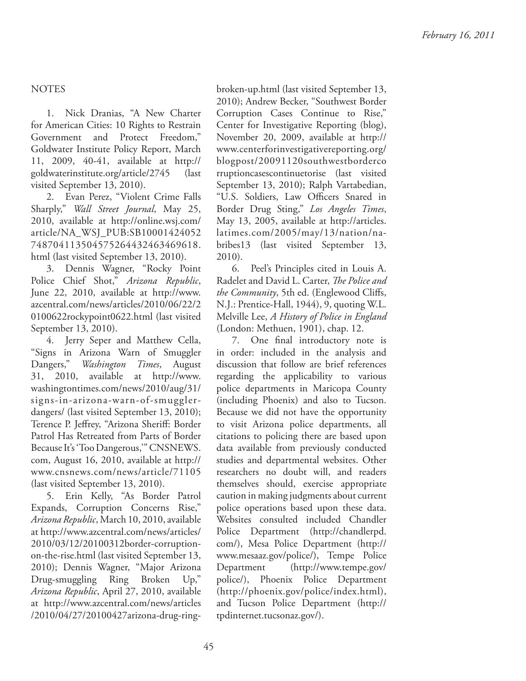#### NOTES

1. Nick Dranias, "A New Charter for American Cities: 10 Rights to Restrain Government and Protect Freedom," Goldwater Institute Policy Report, March 11, 2009, 40-41, available at http:// goldwaterinstitute.org/article/2745 (last visited September 13, 2010).

2. Evan Perez, "Violent Crime Falls Sharply," *Wall Street Journal*, May 25, 2010, available at http://online.wsj.com/ article/NA\_WSJ\_PUB:SB10001424052 748704113504575264432463469618. html (last visited September 13, 2010).

3. Dennis Wagner, "Rocky Point Police Chief Shot," *Arizona Republic*, June 22, 2010, available at http://www. azcentral.com/news/articles/2010/06/22/2 0100622rockypoint0622.html (last visited September 13, 2010).

4. Jerry Seper and Matthew Cella, "Signs in Arizona Warn of Smuggler Dangers," *Washington Times*, August 31, 2010, available at http://www. washingtontimes.com/news/2010/aug/31/ signs-in-arizona-warn-of-smugglerdangers/ (last visited September 13, 2010); Terence P. Jeffrey, "Arizona Sheriff: Border Patrol Has Retreated from Parts of Border Because It's 'Too Dangerous,'" CNSNEWS. com, August 16, 2010, available at http:// www.cnsnews.com/news/article/71105 (last visited September 13, 2010).

5. Erin Kelly, "As Border Patrol Expands, Corruption Concerns Rise," *Arizona Republic*, March 10, 2010, available at http://www.azcentral.com/news/articles/ 2010/03/12/20100312border-corruptionon-the-rise.html (last visited September 13, 2010); Dennis Wagner, "Major Arizona Drug-smuggling Ring Broken Up," *Arizona Republic*, April 27, 2010, available at http://www.azcentral.com/news/articles /2010/04/27/20100427arizona-drug-ring-

broken-up.html (last visited September 13, 2010); Andrew Becker, "Southwest Border Corruption Cases Continue to Rise," Center for Investigative Reporting (blog), November 20, 2009, available at http:// www.centerforinvestigativereporting.org/ blogpost/20091120southwestborderco rruptioncasescontinuetorise (last visited September 13, 2010); Ralph Vartabedian, "U.S. Soldiers, Law Officers Snared in Border Drug Sting," *Los Angeles Times*, May 13, 2005, available at http://articles. latimes.com/2005/may/13/nation/nabribes13 (last visited September 13, 2010).

6. Peel's Principles cited in Louis A. Radelet and David L. Carter, *The Police and the Community*, 5th ed. (Englewood Cliffs, N.J.: Prentice-Hall, 1944), 9, quoting W.L. Melville Lee, *A History of Police in England* (London: Methuen, 1901), chap. 12.

7. One final introductory note is in order: included in the analysis and discussion that follow are brief references regarding the applicability to various police departments in Maricopa County (including Phoenix) and also to Tucson. Because we did not have the opportunity to visit Arizona police departments, all citations to policing there are based upon data available from previously conducted studies and departmental websites. Other researchers no doubt will, and readers themselves should, exercise appropriate caution in making judgments about current police operations based upon these data. Websites consulted included Chandler Police Department (http://chandlerpd. com/), Mesa Police Department (http:// www.mesaaz.gov/police/), Tempe Police Department (http://www.tempe.gov/ police/), Phoenix Police Department (http://phoenix.gov/police/index.html), and Tucson Police Department (http:// tpdinternet.tucsonaz.gov/).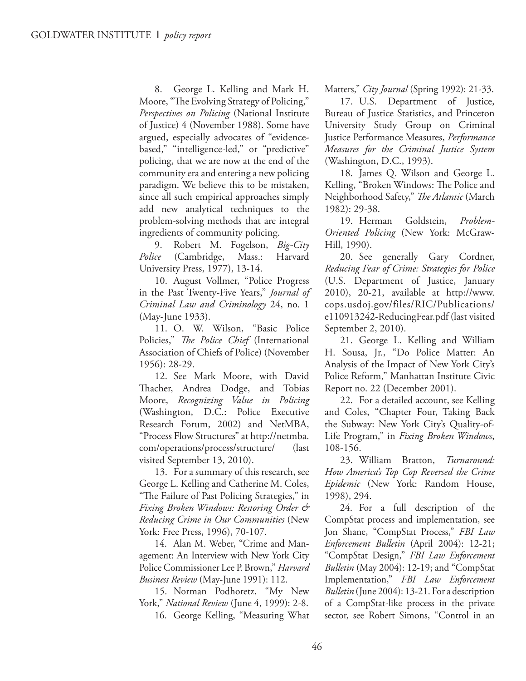8. George L. Kelling and Mark H. Moore, "The Evolving Strategy of Policing," *Perspectives on Policing* (National Institute of Justice) 4 (November 1988). Some have argued, especially advocates of "evidencebased," "intelligence-led," or "predictive" policing, that we are now at the end of the community era and entering a new policing paradigm. We believe this to be mistaken, since all such empirical approaches simply add new analytical techniques to the problem-solving methods that are integral ingredients of community policing.

9. Robert M. Fogelson, *Big-City Police* (Cambridge, Mass.: Harvard University Press, 1977), 13-14.

10. August Vollmer, "Police Progress in the Past Twenty-Five Years," *Journal of Criminal Law and Criminology* 24, no. 1 (May-June 1933).

11. O. W. Wilson, "Basic Police Policies," *The Police Chief* (International Association of Chiefs of Police) (November 1956): 28-29.

12. See Mark Moore, with David Thacher, Andrea Dodge, and Tobias Moore, *Recognizing Value in Policing* (Washington, D.C.: Police Executive Research Forum, 2002) and NetMBA, "Process Flow Structures" at http://netmba. com/operations/process/structure/ (last visited September 13, 2010).

13. For a summary of this research, see George L. Kelling and Catherine M. Coles, "The Failure of Past Policing Strategies," in *Fixing Broken Windows: Restoring Order & Reducing Crime in Our Communities* (New York: Free Press, 1996), 70-107.

14. Alan M. Weber, "Crime and Management: An Interview with New York City Police Commissioner Lee P. Brown," *Harvard Business Review* (May-June 1991): 112.

15. Norman Podhoretz, "My New York," *National Review* (June 4, 1999): 2-8.

16. George Kelling, "Measuring What

Matters," *City Journal* (Spring 1992): 21-33.

17. U.S. Department of Justice, Bureau of Justice Statistics, and Princeton University Study Group on Criminal Justice Performance Measures, *Performance Measures for the Criminal Justice System* (Washington, D.C., 1993).

18. James Q. Wilson and George L. Kelling, "Broken Windows: The Police and Neighborhood Safety," *The Atlantic* (March 1982): 29-38.

19. Herman Goldstein, *Problem-Oriented Policing* (New York: McGraw-Hill, 1990).

20. See generally Gary Cordner, *Reducing Fear of Crime: Strategies for Police* (U.S. Department of Justice, January 2010), 20-21, available at http://www. cops.usdoj.gov/files/RIC/Publications/ e110913242-ReducingFear.pdf (last visited September 2, 2010).

21. George L. Kelling and William H. Sousa, Jr., "Do Police Matter: An Analysis of the Impact of New York City's Police Reform," Manhattan Institute Civic Report no. 22 (December 2001).

22. For a detailed account, see Kelling and Coles, "Chapter Four, Taking Back the Subway: New York City's Quality-of-Life Program," in *Fixing Broken Windows*, 108-156.

23. William Bratton, *Turnaround: How America's Top Cop Reversed the Crime Epidemic* (New York: Random House, 1998), 294.

24. For a full description of the CompStat process and implementation, see Jon Shane, "CompStat Process," *FBI Law Enforcement Bulletin* (April 2004): 12-21; "CompStat Design," *FBI Law Enforcement Bulletin* (May 2004): 12-19; and "CompStat Implementation," *FBI Law Enforcement Bulletin* (June 2004): 13-21. For a description of a CompStat-like process in the private sector, see Robert Simons, "Control in an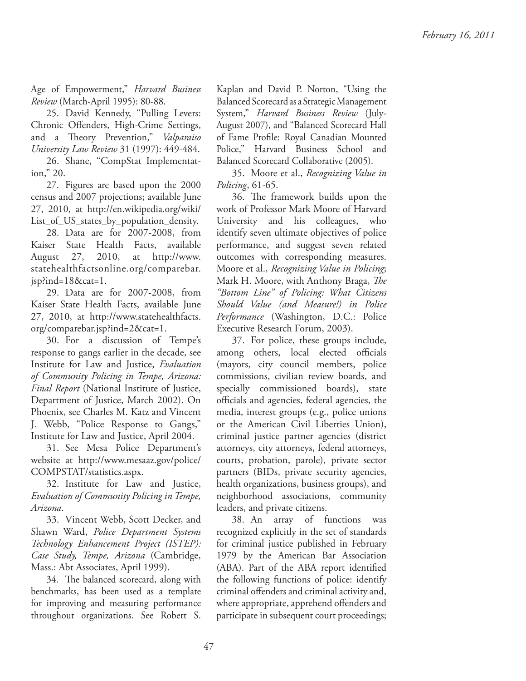Age of Empowerment," *Harvard Business Review* (March-April 1995): 80-88.

25. David Kennedy, "Pulling Levers: Chronic Offenders, High-Crime Settings, and a Theory Prevention," *Valparaiso University Law Review* 31 (1997): 449-484.

26. Shane, "CompStat Implementation," 20.

27. Figures are based upon the 2000 census and 2007 projections; available June 27, 2010, at http://en.wikipedia.org/wiki/ List\_of\_US\_states\_by\_population\_density.

28. Data are for 2007-2008, from Kaiser State Health Facts, available August 27, 2010, at http://www. statehealthfactsonline.org/comparebar. jsp?ind=18&cat=1.

29. Data are for 2007-2008, from Kaiser State Health Facts, available June 27, 2010, at http://www.statehealthfacts. org/comparebar.jsp?ind=2&cat=1.

30. For a discussion of Tempe's response to gangs earlier in the decade, see Institute for Law and Justice, *Evaluation of Community Policing in Tempe, Arizona: Final Report* (National Institute of Justice, Department of Justice, March 2002). On Phoenix, see Charles M. Katz and Vincent J. Webb, "Police Response to Gangs," Institute for Law and Justice, April 2004.

31. See Mesa Police Department's website at http://www.mesaaz.gov/police/ COMPSTAT/statistics.aspx.

32. Institute for Law and Justice, *Evaluation of Community Policing in Tempe, Arizona*.

33. Vincent Webb, Scott Decker, and Shawn Ward, *Police Department Systems Technology Enhancement Project (ISTEP): Case Study, Tempe, Arizona* (Cambridge, Mass.: Abt Associates, April 1999).

34. The balanced scorecard, along with benchmarks, has been used as a template for improving and measuring performance throughout organizations. See Robert S. Kaplan and David P. Norton, "Using the Balanced Scorecard as a Strategic Management System," *Harvard Business Review* (July-August 2007), and "Balanced Scorecard Hall of Fame Profile: Royal Canadian Mounted Police," Harvard Business School and Balanced Scorecard Collaborative (2005).

35. Moore et al., *Recognizing Value in Policing*, 61-65.

36. The framework builds upon the work of Professor Mark Moore of Harvard University and his colleagues, who identify seven ultimate objectives of police performance, and suggest seven related outcomes with corresponding measures. Moore et al., *Recognizing Value in Policing*; Mark H. Moore, with Anthony Braga, *The "Bottom Line" of Policing: What Citizens Should Value (and Measure!) in Police Performance* (Washington, D.C.: Police Executive Research Forum, 2003).

37. For police, these groups include, among others, local elected officials (mayors, city council members, police commissions, civilian review boards, and specially commissioned boards), state officials and agencies, federal agencies, the media, interest groups (e.g., police unions or the American Civil Liberties Union), criminal justice partner agencies (district attorneys, city attorneys, federal attorneys, courts, probation, parole), private sector partners (BIDs, private security agencies, health organizations, business groups), and neighborhood associations, community leaders, and private citizens.

38. An array of functions was recognized explicitly in the set of standards for criminal justice published in February 1979 by the American Bar Association (ABA). Part of the ABA report identified the following functions of police: identify criminal offenders and criminal activity and, where appropriate, apprehend offenders and participate in subsequent court proceedings;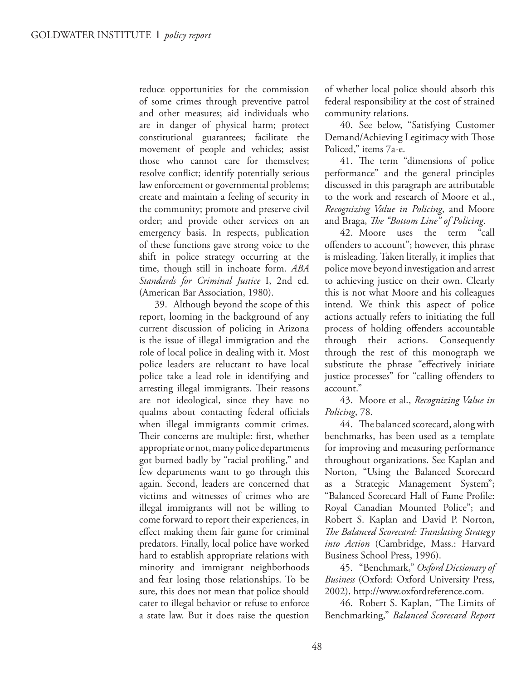reduce opportunities for the commission of some crimes through preventive patrol and other measures; aid individuals who are in danger of physical harm; protect constitutional guarantees; facilitate the movement of people and vehicles; assist those who cannot care for themselves; resolve conflict; identify potentially serious law enforcement or governmental problems; create and maintain a feeling of security in the community; promote and preserve civil order; and provide other services on an emergency basis. In respects, publication of these functions gave strong voice to the shift in police strategy occurring at the time, though still in inchoate form. *ABA Standards for Criminal Justice* I, 2nd ed. (American Bar Association, 1980).

39. Although beyond the scope of this report, looming in the background of any current discussion of policing in Arizona is the issue of illegal immigration and the role of local police in dealing with it. Most police leaders are reluctant to have local police take a lead role in identifying and arresting illegal immigrants. Their reasons are not ideological, since they have no qualms about contacting federal officials when illegal immigrants commit crimes. Their concerns are multiple: first, whether appropriate or not, many police departments got burned badly by "racial profiling," and few departments want to go through this again. Second, leaders are concerned that victims and witnesses of crimes who are illegal immigrants will not be willing to come forward to report their experiences, in effect making them fair game for criminal predators. Finally, local police have worked hard to establish appropriate relations with minority and immigrant neighborhoods and fear losing those relationships. To be sure, this does not mean that police should cater to illegal behavior or refuse to enforce a state law. But it does raise the question

of whether local police should absorb this federal responsibility at the cost of strained community relations.

40. See below, "Satisfying Customer Demand/Achieving Legitimacy with Those Policed," items 7a-e.

41. The term "dimensions of police performance" and the general principles discussed in this paragraph are attributable to the work and research of Moore et al., *Recognizing Value in Policing*, and Moore and Braga, *The "Bottom Line" of Policing*.

42. Moore uses the term "call offenders to account"; however, this phrase is misleading. Taken literally, it implies that police move beyond investigation and arrest to achieving justice on their own. Clearly this is not what Moore and his colleagues intend. We think this aspect of police actions actually refers to initiating the full process of holding offenders accountable through their actions. Consequently through the rest of this monograph we substitute the phrase "effectively initiate justice processes" for "calling offenders to account."

43. Moore et al., *Recognizing Value in Policing*, 78.

44. The balanced scorecard, along with benchmarks, has been used as a template for improving and measuring performance throughout organizations. See Kaplan and Norton, "Using the Balanced Scorecard as a Strategic Management System"; "Balanced Scorecard Hall of Fame Profile: Royal Canadian Mounted Police"; and Robert S. Kaplan and David P. Norton, **The Balanced Scorecard: Translating Strategy** *into Action* (Cambridge, Mass.: Harvard Business School Press, 1996).

45. "Benchmark," *Oxford Dictionary of Business* (Oxford: Oxford University Press, 2002), http://www.oxfordreference.com.

46. Robert S. Kaplan, "The Limits of Benchmarking," *Balanced Scorecard Report*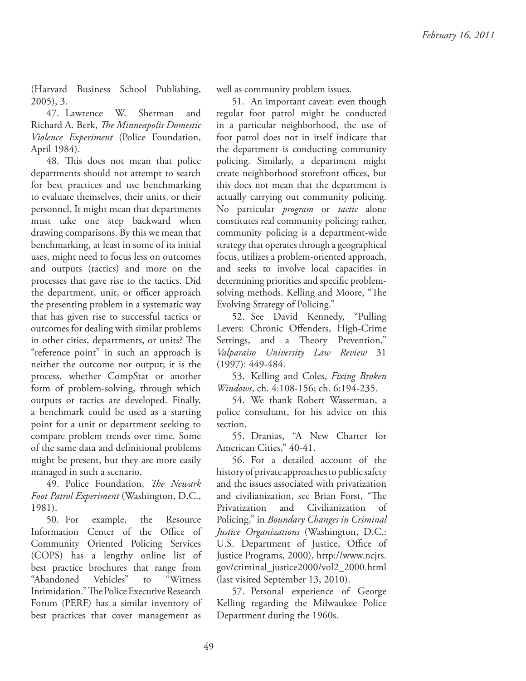(Harvard Business School Publishing, 2005), 3.

47. Lawrence W. Sherman and Richard A. Berk, *The Minneapolis Domestic Violence Experiment* (Police Foundation, April 1984).

48. This does not mean that police departments should not attempt to search for best practices and use benchmarking to evaluate themselves, their units, or their personnel. It might mean that departments must take one step backward when drawing comparisons. By this we mean that benchmarking, at least in some of its initial uses, might need to focus less on outcomes and outputs (tactics) and more on the processes that gave rise to the tactics. Did the department, unit, or officer approach the presenting problem in a systematic way that has given rise to successful tactics or outcomes for dealing with similar problems in other cities, departments, or units? The "reference point" in such an approach is neither the outcome nor output; it is the process, whether CompStat or another form of problem-solving, through which outputs or tactics are developed. Finally, a benchmark could be used as a starting point for a unit or department seeking to compare problem trends over time. Some of the same data and definitional problems might be present, but they are more easily managed in such a scenario.

49. Police Foundation, *The Newark Foot Patrol Experiment* (Washington, D.C., 1981).

50. For example, the Resource Information Center of the Office of Community Oriented Policing Services (COPS) has a lengthy online list of best practice brochures that range from "Abandoned Vehicles" to "Witness Intimidation." The Police Executive Research Forum (PERF) has a similar inventory of best practices that cover management as

well as community problem issues.

51. An important caveat: even though regular foot patrol might be conducted in a particular neighborhood, the use of foot patrol does not in itself indicate that the department is conducting community policing. Similarly, a department might create neighborhood storefront offices, but this does not mean that the department is actually carrying out community policing. No particular *program* or *tactic* alone constitutes real community policing; rather, community policing is a department-wide strategy that operates through a geographical focus, utilizes a problem-oriented approach, and seeks to involve local capacities in determining priorities and specific problemsolving methods. Kelling and Moore, "The Evolving Strategy of Policing."

52. See David Kennedy, "Pulling Levers: Chronic Offenders, High-Crime Settings, and a Theory Prevention," *Valparaiso University Law Review* 31 (1997): 449-484.

53. Kelling and Coles, *Fixing Broken Windows*, ch. 4:108-156; ch. 6:194-235.

54. We thank Robert Wasserman, a police consultant, for his advice on this section.

55. Dranias, "A New Charter for American Cities," 40-41.

56. For a detailed account of the history of private approaches to public safety and the issues associated with privatization and civilianization, see Brian Forst, "The Privatization and Civilianization of Policing," in *Boundary Changes in Criminal Justice Organizations* (Washington, D.C.: U.S. Department of Justice, Office of Justice Programs, 2000), http://www.ncjrs. gov/criminal\_justice2000/vol2\_2000.html (last visited September 13, 2010).

57. Personal experience of George Kelling regarding the Milwaukee Police Department during the 1960s.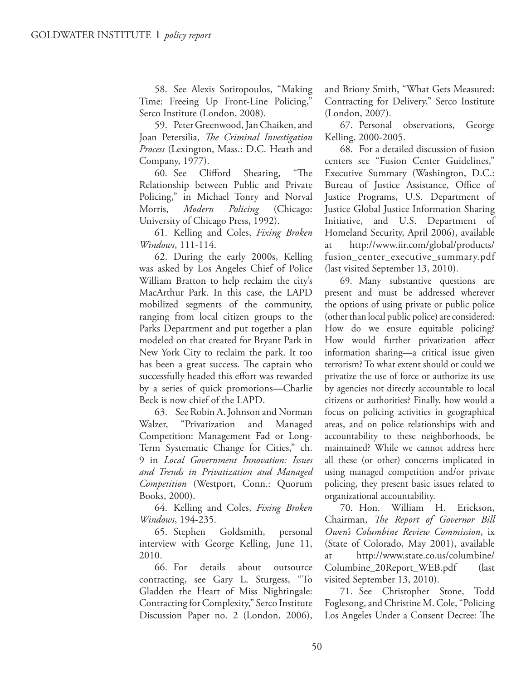58. See Alexis Sotiropoulos, "Making Time: Freeing Up Front-Line Policing, Serco Institute (London, 2008).

59. Peter Greenwood, Jan Chaiken, and Joan Petersilia, *The Criminal Investigation Process* (Lexington, Mass.: D.C. Heath and Company, 1977).

60. See Clifford Shearing, "The Relationship between Public and Private Policing," in Michael Tonry and Norval Morris, *Modern Policing* (Chicago: University of Chicago Press, 1992).

61. Kelling and Coles, *Fixing Broken Windows*, 111-114.

62. During the early 2000s, Kelling was asked by Los Angeles Chief of Police William Bratton to help reclaim the city's MacArthur Park. In this case, the LAPD mobilized segments of the community, ranging from local citizen groups to the Parks Department and put together a plan modeled on that created for Bryant Park in New York City to reclaim the park. It too has been a great success. The captain who successfully headed this effort was rewarded by a series of quick promotions—Charlie Beck is now chief of the LAPD.

63. See Robin A. Johnson and Norman Walzer, "Privatization and Managed Competition: Management Fad or Long-Term Systematic Change for Cities," ch. 9 in *Local Government Innovation: Issues and Trends in Privatization and Managed Competition* (Westport, Conn.: Quorum Books, 2000).

64. Kelling and Coles, *Fixing Broken Windows*, 194-235.

65. Stephen Goldsmith, personal interview with George Kelling, June 11, 2010.

66. For details about outsource contracting, see Gary L. Sturgess, "To Gladden the Heart of Miss Nightingale: Contracting for Complexity," Serco Institute Discussion Paper no. 2 (London, 2006),

and Briony Smith, "What Gets Measured: Contracting for Delivery," Serco Institute (London, 2007).

67. Personal observations, George Kelling, 2000-2005.

68. For a detailed discussion of fusion centers see "Fusion Center Guidelines," Executive Summary (Washington, D.C.: Bureau of Justice Assistance, Office of Justice Programs, U.S. Department of Justice Global Justice Information Sharing Initiative, and U.S. Department of Homeland Security, April 2006), available at http://www.iir.com/global/products/ fusion\_center\_executive\_summary.pdf (last visited September 13, 2010).

69. Many substantive questions are present and must be addressed wherever the options of using private or public police (other than local public police) are considered: How do we ensure equitable policing? How would further privatization affect information sharing—a critical issue given terrorism? To what extent should or could we privatize the use of force or authorize its use by agencies not directly accountable to local citizens or authorities? Finally, how would a focus on policing activities in geographical areas, and on police relationships with and accountability to these neighborhoods, be maintained? While we cannot address here all these (or other) concerns implicated in using managed competition and/or private policing, they present basic issues related to organizational accountability.

70. Hon. William H. Erickson, Chairman, *The Report of Governor Bill Owen's Columbine Review Commission*, ix (State of Colorado, May 2001), available at http://www.state.co.us/columbine/ Columbine\_20Report\_WEB.pdf (last visited September 13, 2010).

71. See Christopher Stone, Todd Foglesong, and Christine M. Cole, "Policing Los Angeles Under a Consent Decree: The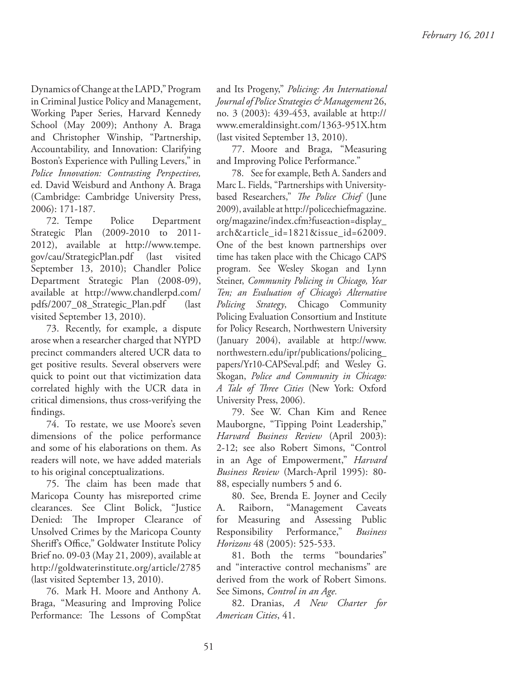Dynamics of Change at the LAPD," Program in Criminal Justice Policy and Management, Working Paper Series, Harvard Kennedy School (May 2009); Anthony A. Braga and Christopher Winship, "Partnership, Accountability, and Innovation: Clarifying Boston's Experience with Pulling Levers," in *Police Innovation: Contrasting Perspectives,* ed. David Weisburd and Anthony A. Braga (Cambridge: Cambridge University Press, 2006): 171-187.

72. Tempe Police Department Strategic Plan (2009-2010 to 2011- 2012), available at http://www.tempe. gov/cau/StrategicPlan.pdf (last visited September 13, 2010); Chandler Police Department Strategic Plan (2008-09), available at http://www.chandlerpd.com/ pdfs/2007\_08\_Strategic\_Plan.pdf (last visited September 13, 2010).

73. Recently, for example, a dispute arose when a researcher charged that NYPD precinct commanders altered UCR data to get positive results. Several observers were quick to point out that victimization data correlated highly with the UCR data in critical dimensions, thus cross-verifying the findings.

74. To restate, we use Moore's seven dimensions of the police performance and some of his elaborations on them. As readers will note, we have added materials to his original conceptualizations.

75. The claim has been made that Maricopa County has misreported crime clearances. See Clint Bolick, "Justice Denied: The Improper Clearance of Unsolved Crimes by the Maricopa County Sheriff's Office," Goldwater Institute Policy Brief no. 09-03 (May 21, 2009), available at http://goldwaterinstitute.org/article/2785 (last visited September 13, 2010).

76. Mark H. Moore and Anthony A. Braga, "Measuring and Improving Police Performance: The Lessons of CompStat and Its Progeny," *Policing: An International Journal of Police Strategies & Management* 26, no. 3 (2003): 439-453, available at http:// www.emeraldinsight.com/1363-951X.htm (last visited September 13, 2010).

77. Moore and Braga, "Measuring and Improving Police Performance."

78. See for example, Beth A. Sanders and Marc L. Fields, "Partnerships with Universitybased Researchers," *The Police Chief* (June 2009), available at http://policechiefmagazine. org/magazine/index.cfm?fuseaction=display\_ arch&article\_id=1821&issue\_id=62009. One of the best known partnerships over time has taken place with the Chicago CAPS program. See Wesley Skogan and Lynn Steiner, *Community Policing in Chicago, Year Ten; an Evaluation of Chicago's Alternative Policing Strategy*, Chicago Community Policing Evaluation Consortium and Institute for Policy Research, Northwestern University (January 2004), available at http://www. northwestern.edu/ipr/publications/policing\_ papers/Yr10-CAPSeval.pdf; and Wesley G. Skogan, *Police and Community in Chicago:*  A Tale of Three Cities (New York: Oxford University Press, 2006).

79. See W. Chan Kim and Renee Mauborgne, "Tipping Point Leadership," *Harvard Business Review* (April 2003): 2-12; see also Robert Simons, "Control in an Age of Empowerment," *Harvard Business Review* (March-April 1995): 80- 88, especially numbers 5 and 6.

80. See, Brenda E. Joyner and Cecily A. Raiborn, "Management Caveats for Measuring and Assessing Public Responsibility Performance," *Business Horizons* 48 (2005): 525-533.

81. Both the terms "boundaries" and "interactive control mechanisms" are derived from the work of Robert Simons. See Simons, *Control in an Age.*

82. Dranias, *A New Charter for American Cities*, 41.